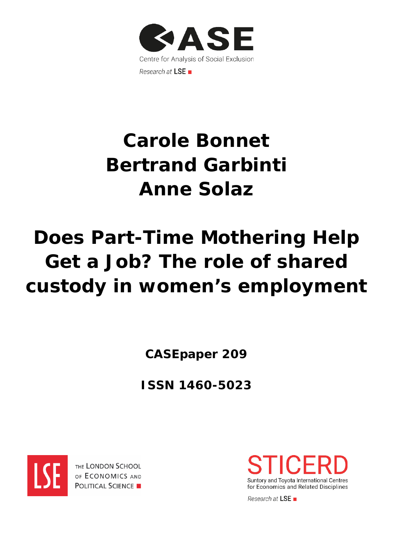

# **Carole Bonnet Bertrand Garbinti Anne Solaz**

# **Does Part-Time Mothering Help Get a Job? The role of shared custody in women's employment**

**CASEpaper 209**

**ISSN 1460-5023**



THE LONDON SCHOOL OF ECONOMICS AND **POLITICAL SCIENCE** 



Research at LSE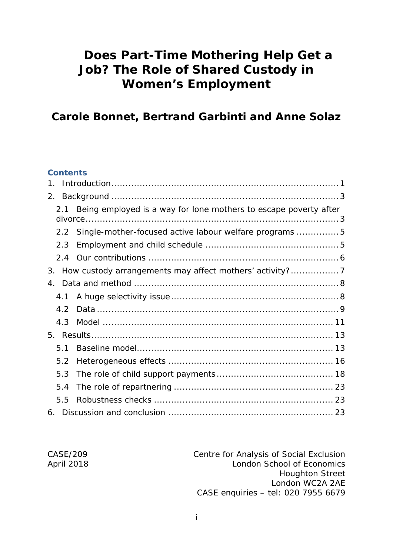# **Does Part-Time Mothering Help Get a Job? The Role of Shared Custody in Women's Employment**

# **Carole Bonnet, Bertrand Garbinti and Anne Solaz**

#### **Contents**

| 1.            |                                                                                     |  |
|---------------|-------------------------------------------------------------------------------------|--|
| 2.            |                                                                                     |  |
| 2.1           | Being employed is a way for lone mothers to escape poverty after<br>$div \, \alpha$ |  |
| $2.2^{\circ}$ | Single-mother-focused active labour welfare programs 5                              |  |
| 2.3           |                                                                                     |  |
| 2.4           |                                                                                     |  |
| 3.            | How custody arrangements may affect mothers' activity?                              |  |
| 4.            |                                                                                     |  |
| 4.1           |                                                                                     |  |
| 4.2           |                                                                                     |  |
| 4.3           |                                                                                     |  |
| 5.            |                                                                                     |  |
| 5.1           |                                                                                     |  |
| 5.2           |                                                                                     |  |
| 5.3           |                                                                                     |  |
| 5.4           |                                                                                     |  |
| 5.5           |                                                                                     |  |
| 6.            |                                                                                     |  |

| Centre for Analysis of Social Exclusion |
|-----------------------------------------|
| London School of Economics              |
| <b>Houghton Street</b>                  |
| London WC2A 2AE                         |
| CASE enquiries - tel: 020 7955 6679     |

April 2018

 $CASE/209$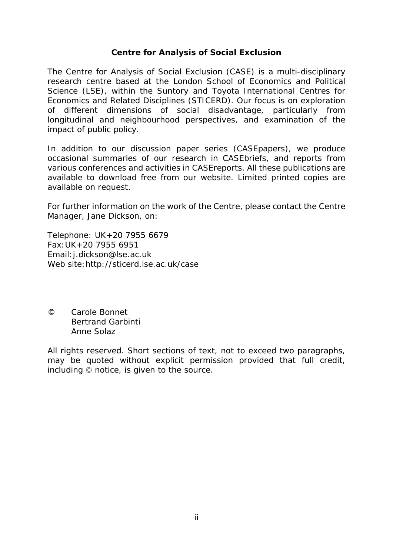#### **Centre for Analysis of Social Exclusion**

The Centre for Analysis of Social Exclusion (CASE) is a multi*-*disciplinary research centre based at the London School of Economics and Political Science (LSE), within the Suntory and Toyota International Centres for Economics and Related Disciplines (STICERD). Our focus is on exploration of different dimensions of social disadvantage, particularly from longitudinal and neighbourhood perspectives, and examination of the impact of public policy.

In addition to our discussion paper series (CASEpapers), we produce occasional summaries of our research in CASEbriefs, and reports from various conferences and activities in CASEreports. All these publications are available to download free from our website. Limited printed copies are available on request.

For further information on the work of the Centre, please contact the Centre Manager, Jane Dickson, on:

Telephone: UK+20 7955 6679 Fax:UK+20 7955 6951 Email:j.dickson@lse.ac.uk Web site:http://sticerd.lse.ac.uk/case

© Carole Bonnet Bertrand Garbinti Anne Solaz

All rights reserved. Short sections of text, not to exceed two paragraphs, may be quoted without explicit permission provided that full credit, including  $\odot$  notice, is given to the source.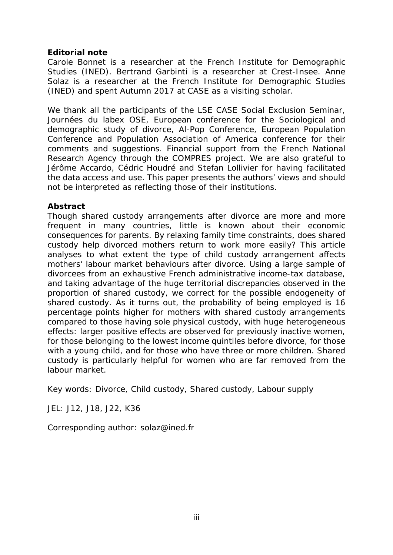#### **Editorial note**

Carole Bonnet is a researcher at the French Institute for Demographic Studies (INED). Bertrand Garbinti is a researcher at Crest-Insee. Anne Solaz is a researcher at the French Institute for Demographic Studies (INED) and spent Autumn 2017 at CASE as a visiting scholar.

We thank all the participants of the LSE CASE Social Exclusion Seminar, Journées du labex OSE, European conference for the Sociological and demographic study of divorce, Al-Pop Conference, European Population Conference and Population Association of America conference for their comments and suggestions. Financial support from the French National Research Agency through the COMPRES project. We are also grateful to Jérôme Accardo, Cédric Houdré and Stefan Lollivier for having facilitated the data access and use. This paper presents the authors' views and should not be interpreted as reflecting those of their institutions.

#### **Abstract**

Though shared custody arrangements after divorce are more and more frequent in many countries, little is known about their economic consequences for parents. By relaxing family time constraints, does shared custody help divorced mothers return to work more easily? This article analyses to what extent the type of child custody arrangement affects mothers' labour market behaviours after divorce. Using a large sample of divorcees from an exhaustive French administrative income-tax database, and taking advantage of the huge territorial discrepancies observed in the proportion of shared custody, we correct for the possible endogeneity of shared custody. As it turns out, the probability of being employed is 16 percentage points higher for mothers with shared custody arrangements compared to those having sole physical custody, with huge heterogeneous effects: larger positive effects are observed for previously inactive women, for those belonging to the lowest income quintiles before divorce, for those with a young child, and for those who have three or more children. Shared custody is particularly helpful for women who are far removed from the labour market.

Key words: Divorce, Child custody, Shared custody, Labour supply

JEL: J12, J18, J22, K36

Corresponding author: solaz@ined.fr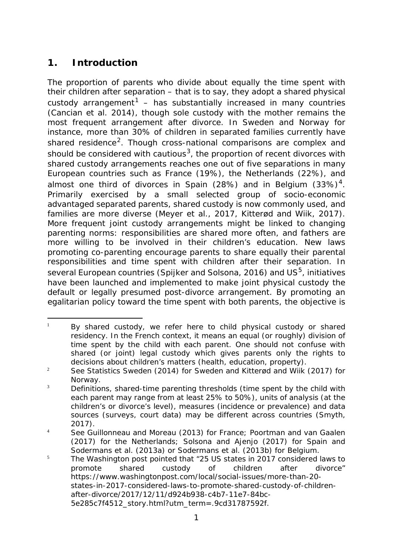# <span id="page-4-0"></span>**1. Introduction**

The proportion of parents who divide about equally the time spent with their children after separation – that is to say, they adopt a shared physical custody arrangement<sup>[1](#page-4-1)</sup> – has substantially increased in many countries (Cancian et al. 2014), though sole custody with the mother remains the most frequent arrangement after divorce. In Sweden and Norway for instance, more than 30% of children in separated families currently have shared residence<sup>[2](#page-4-2)</sup>. Though cross-national comparisons are complex and should be considered with cautious<sup>3</sup>, the proportion of recent divorces with shared custody arrangements reaches one out of five separations in many European countries such as France (19%), the Netherlands (22%), and almost one third of divorces in Spain (28%) and in Belgium (33%)<sup>[4](#page-4-4)</sup>. Primarily exercised by a small selected group of socio-economic advantaged separated parents, shared custody is now commonly used, and families are more diverse (Meyer et al., 2017, Kitterød and Wiik, 2017). More frequent joint custody arrangements might be linked to changing parenting norms: responsibilities are shared more often, and fathers are more willing to be involved in their children's education. New laws promoting co-parenting encourage parents to share equally their parental responsibilities and time spent with children after their separation. In several European countries (Spijker and Solsona, 2016) and  $US^5$ , initiatives have been launched and implemented to make joint physical custody the default or legally presumed post-divorce arrangement. By promoting an egalitarian policy toward the time spent with both parents, the objective is

<span id="page-4-1"></span><sup>-</sup> $1$  By shared custody, we refer here to child physical custody or shared residency. In the French context, it means an equal (or roughly) division of time spent by the child with each parent. One should not confuse with shared (or joint) legal custody which gives parents only the rights to decisions about children's matters (health, education, property).

<span id="page-4-2"></span><sup>&</sup>lt;sup>2</sup> See Statistics Sweden (2014) for Sweden and Kitterød and Wiik (2017) for Norway.

<span id="page-4-3"></span> $3$  Definitions, shared-time parenting thresholds (time spent by the child with each parent may range from at least 25% to 50%), units of analysis (at the children's or divorce's level), measures (incidence or prevalence) and data sources (surveys, court data) may be different across countries (Smyth, 2017).

<span id="page-4-4"></span><sup>&</sup>lt;sup>4</sup> See Guillonneau and Moreau (2013) for France; Poortman and van Gaalen (2017) for the Netherlands; Solsona and Ajenjo (2017) for Spain and Sodermans et al. (2013a) or Sodermans et al. (2013b) for Belgium.

<span id="page-4-5"></span> $5$  The Washington post pointed that "25 US states in 2017 considered laws to promote shared custody of children after divorce" https://www.washingtonpost.com/local/social-issues/more-than-20 states-in-2017-considered-laws-to-promote-shared-custody-of-childrenafter-divorce/2017/12/11/d924b938-c4b7-11e7-84bc-5e285c7f4512\_story.html?utm\_term=.9cd31787592f.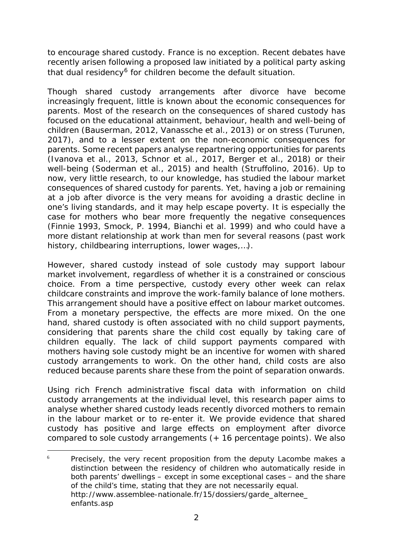to encourage shared custody. France is no exception. Recent debates have recently arisen following a proposed law initiated by a political party asking that dual residency<sup>[6](#page-5-0)</sup> for children become the default situation.

Though shared custody arrangements after divorce have become increasingly frequent, little is known about the economic consequences for parents. Most of the research on the consequences of shared custody has focused on the educational attainment, behaviour, health and well-being of children (Bauserman, 2012, Vanassche et al., 2013) or on stress (Turunen, 2017), and to a lesser extent on the non-economic consequences for parents. Some recent papers analyse repartnering opportunities for parents (Ivanova et al., 2013, Schnor et al., 2017, Berger et al., 2018) or their well-being (Soderman et al., 2015) and health (Struffolino, 2016). Up to now, very little research, to our knowledge, has studied the labour market consequences of shared custody for parents. Yet, having a job or remaining at a job after divorce is the very means for avoiding a drastic decline in one's living standards, and it may help escape poverty. It is especially the case for mothers who bear more frequently the negative consequences (Finnie 1993, Smock, P. 1994, Bianchi et al. 1999) and who could have a more distant relationship at work than men for several reasons (past work history, childbearing interruptions, lower wages,…).

However, shared custody instead of sole custody may support labour market involvement, regardless of whether it is a constrained or conscious choice. From a time perspective, custody every other week can relax childcare constraints and improve the work-family balance of lone mothers. This arrangement should have a positive effect on labour market outcomes. From a monetary perspective, the effects are more mixed. On the one hand, shared custody is often associated with no child support payments, considering that parents share the child cost equally by taking care of children equally. The lack of child support payments compared with mothers having sole custody might be an incentive for women with shared custody arrangements to work. On the other hand, child costs are also reduced because parents share these from the point of separation onwards.

Using rich French administrative fiscal data with information on child custody arrangements at the individual level, this research paper aims to analyse whether shared custody leads recently divorced mothers to remain in the labour market or to re-enter it. We provide evidence that shared custody has positive and large effects on employment after divorce compared to sole custody arrangements (+ 16 percentage points). We also

<span id="page-5-0"></span> $\overline{6}$ Precisely, the very recent proposition from the deputy Lacombe makes a distinction between the residency of children who automatically reside in both parents' dwellings – except in some exceptional cases – and the share of the child's time, stating that they are not necessarily equal. [http://www.assemblee-nationale.fr/15/dossiers/garde\\_alternee\\_](http://www.assemblee-nationale.fr/15/dossiers/garde_alternee_) enfants.asp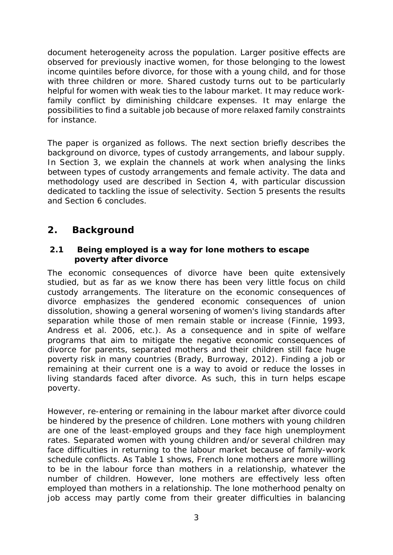document heterogeneity across the population. Larger positive effects are observed for previously inactive women, for those belonging to the lowest income quintiles before divorce, for those with a young child, and for those with three children or more. Shared custody turns out to be particularly helpful for women with weak ties to the labour market. It may reduce workfamily conflict by diminishing childcare expenses. It may enlarge the possibilities to find a suitable job because of more relaxed family constraints for instance.

The paper is organized as follows. The next section briefly describes the background on divorce, types of custody arrangements, and labour supply. In Section 3, we explain the channels at work when analysing the links between types of custody arrangements and female activity. The data and methodology used are described in Section 4, with particular discussion dedicated to tackling the issue of selectivity. Section 5 presents the results and Section 6 concludes.

# <span id="page-6-0"></span>**2. Background**

#### <span id="page-6-1"></span>*2.1 Being employed is a way for lone mothers to escape poverty after divorce*

The economic consequences of divorce have been quite extensively studied, but as far as we know there has been very little focus on child custody arrangements. The literature on the economic consequences of divorce emphasizes the gendered economic consequences of union dissolution, showing a general worsening of women's living standards after separation while those of men remain stable or increase (Finnie, 1993, Andress et al. 2006, etc.). As a consequence and in spite of welfare programs that aim to mitigate the negative economic consequences of divorce for parents, separated mothers and their children still face huge poverty risk in many countries (Brady, Burroway, 2012). Finding a job or remaining at their current one is a way to avoid or reduce the losses in living standards faced after divorce. As such, this in turn helps escape poverty.

However, re-entering or remaining in the labour market after divorce could be hindered by the presence of children. Lone mothers with young children are one of the least-employed groups and they face high unemployment rates. Separated women with young children and/or several children may face difficulties in returning to the labour market because of family-work schedule conflicts. As Table 1 shows, French lone mothers are more willing to be in the labour force than mothers in a relationship, whatever the number of children. However, lone mothers are effectively less often employed than mothers in a relationship. The lone motherhood penalty on job access may partly come from their greater difficulties in balancing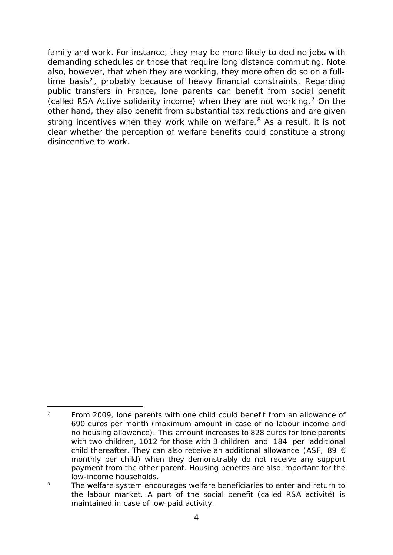family and work. For instance, they may be more likely to decline jobs with demanding schedules or those that require long distance commuting. Note also, however, that when they are working, they more often do so on a fulltime basis², probably because of heavy financial constraints. Regarding public transfers in France, lone parents can benefit from social benefit (called RSA *Active solidarity income*) when they are not working.[7](#page-7-0) On the other hand, they also benefit from substantial tax reductions and are given strong incentives when they work while on welfare. <sup>[8](#page-7-1)</sup> As a result, it is not clear whether the perception of welfare benefits could constitute a strong disincentive to work.

<span id="page-7-0"></span> $\overline{7}$ From 2009, lone parents with one child could benefit from an allowance of 690 euros per month (maximum amount in case of no labour income and no housing allowance). This amount increases to 828 euros for lone parents with two children, 1012 for those with 3 children and 184 per additional child thereafter. They can also receive an additional allowance (ASF, 89  $\epsilon$ monthly per child) when they demonstrably do not receive any support payment from the other parent. Housing benefits are also important for the low-income households.

<span id="page-7-1"></span><sup>&</sup>lt;sup>8</sup> The welfare system encourages welfare beneficiaries to enter and return to the labour market. A part of the social benefit (called *RSA activité)* is maintained in case of low-paid activity*.*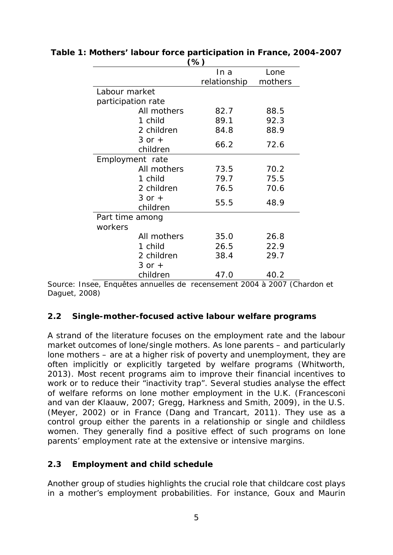|                        | (70)         |         |
|------------------------|--------------|---------|
|                        | In a         | Lone    |
|                        | relationship | mothers |
| Labour market          |              |         |
| participation rate     |              |         |
| All mothers            | 82.7         | 88.5    |
| 1 child                | 89.1         | 92.3    |
| 2 children             | 84.8         | 88.9    |
| $3$ or $+$<br>children | 66.2         | 72.6    |
| Employment rate        |              |         |
| All mothers            | 73.5         | 70.2    |
| 1 child                | 79.7         | 75.5    |
| 2 children             | 76.5         | 70.6    |
| $3$ or $+$<br>children | 55.5         | 48.9    |
| Part time among        |              |         |
| workers                |              |         |
| All mothers            | 35.0         | 26.8    |
| 1 child                | 26.5         | 22.9    |
| 2 children             | 38.4         | 29.7    |
| $3$ or $+$             |              |         |
| children               | 47.0         | 40.2    |

#### **Table 1: Mothers' labour force participation in France, 2004-2007**   $(0)$

Source: Insee, Enquêtes annuelles de recensement 2004 à 2007 (Chardon et Daguet, 2008)

#### <span id="page-8-0"></span>*2.2 Single-mother-focused active labour welfare programs*

A strand of the literature focuses on the employment rate and the labour market outcomes of lone/single mothers. As lone parents – and particularly lone mothers – are at a higher risk of poverty and unemployment, they are often implicitly or explicitly targeted by welfare programs (Whitworth, 2013). Most recent programs aim to improve their financial incentives to work or to reduce their "inactivity trap". Several studies analyse the effect of welfare reforms on lone mother employment in the U.K. (Francesconi and van der Klaauw, 2007; Gregg, Harkness and Smith, 2009), in the U.S. (Meyer, 2002) or in France (Dang and Trancart, 2011). They use as a control group either the parents in a relationship or single and childless women. They generally find a positive effect of such programs on lone parents' employment rate at the extensive or intensive margins.

#### <span id="page-8-1"></span>*2.3 Employment and child schedule*

Another group of studies highlights the crucial role that childcare cost plays in a mother's employment probabilities. For instance, Goux and Maurin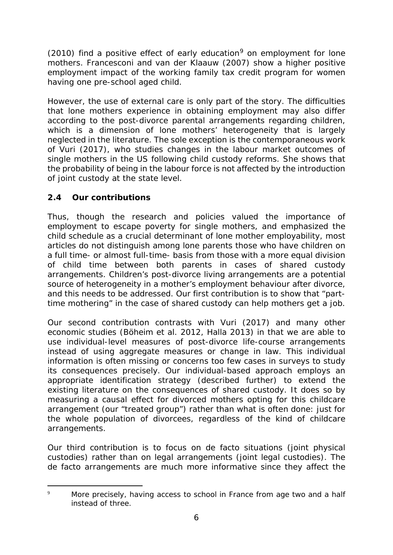(2010) find a positive effect of early education<sup>[9](#page-9-1)</sup> on employment for lone mothers. Francesconi and van der Klaauw (2007) show a higher positive employment impact of the working family tax credit program for women having one pre-school aged child.

However, the use of external care is only part of the story. The difficulties that lone mothers experience in obtaining employment may also differ according to the post-divorce parental arrangements regarding children, which is a dimension of lone mothers' heterogeneity that is largely neglected in the literature. The sole exception is the contemporaneous work of Vuri (2017), who studies changes in the labour market outcomes of single mothers in the US following child custody reforms. She shows that the probability of being in the labour force is not affected by the introduction of joint custody at the state level.

## <span id="page-9-0"></span>*2.4 Our contributions*

Thus, though the research and policies valued the importance of employment to escape poverty for single mothers, and emphasized the child schedule as a crucial determinant of lone mother employability, most articles do not distinguish among lone parents those who have children on a full time- or almost full-time- basis from those with a more equal division of child time between both parents in cases of shared custody arrangements. Children's post-divorce living arrangements are a potential source of heterogeneity in a mother's employment behaviour after divorce, and this needs to be addressed. Our first contribution is to show that "parttime mothering" in the case of shared custody can help mothers get a job.

Our second contribution contrasts with Vuri (2017) and many other economic studies (Böheim et al. 2012, Halla 2013) in that we are able to use individual-level measures of post-divorce life-course arrangements instead of using aggregate measures or change in law. This individual information is often missing or concerns too few cases in surveys to study its consequences precisely. Our individual-based approach employs an appropriate identification strategy (described further) to extend the existing literature on the consequences of shared custody. It does so by measuring a causal effect for divorced mothers opting for this childcare arrangement (our "treated group") rather than what is often done: just for the whole population of divorcees, regardless of the kind of childcare arrangements.

Our third contribution is to focus on *de facto* situations (joint physical custodies) rather than on legal arrangements (joint legal custodies). The *de facto* arrangements are much more informative since they affect the

<span id="page-9-1"></span><sup>-</sup><sup>9</sup> More precisely, having access to school in France from age two and a half instead of three.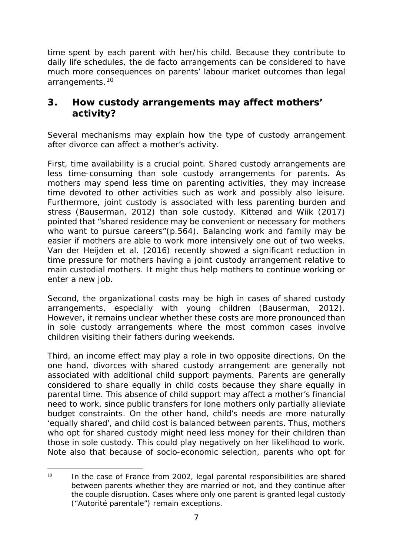time spent by each parent with her/his child. Because they contribute to daily life schedules, the *de facto* arrangements can be considered to have much more consequences on parents' labour market outcomes than legal arrangements.[10](#page-10-1)

# <span id="page-10-0"></span>**3. How custody arrangements may affect mothers' activity?**

Several mechanisms may explain how the type of custody arrangement after divorce can affect a mother's activity.

First, time availability is a crucial point. Shared custody arrangements are less time-consuming than sole custody arrangements for parents. As mothers may spend less time on parenting activities, they may increase time devoted to other activities such as work and possibly also leisure. Furthermore, joint custody is associated with less parenting burden and stress (Bauserman, 2012) than sole custody. Kitterød and Wiik (2017) pointed that "shared residence may be convenient or necessary for mothers who want to pursue careers"(p.564). Balancing work and family may be easier if mothers are able to work more intensively one out of two weeks. Van der Heijden et al. (2016) recently showed a significant reduction in time pressure for mothers having a joint custody arrangement relative to main custodial mothers. It might thus help mothers to continue working or enter a new job.

Second, the organizational costs may be high in cases of shared custody arrangements, especially with young children (Bauserman, 2012). However, it remains unclear whether these costs are more pronounced than in sole custody arrangements where the most common cases involve children visiting their fathers during weekends.

Third, an income effect may play a role in two opposite directions. On the one hand, divorces with shared custody arrangement are generally not associated with additional child support payments. Parents are generally considered to share equally in child costs because they share equally in parental time. This absence of child support may affect a mother's financial need to work, since public transfers for lone mothers only partially alleviate budget constraints. On the other hand, child's needs are more naturally 'equally shared', and child cost is balanced between parents. Thus, mothers who opt for shared custody might need less money for their children than those in sole custody. This could play negatively on her likelihood to work. Note also that because of socio-economic selection, parents who opt for

<span id="page-10-1"></span><sup>-</sup> $10$  In the case of France from 2002, legal parental responsibilities are shared between parents whether they are married or not, and they continue after the couple disruption. Cases where only one parent is granted legal custody ("Autorité parentale") remain exceptions.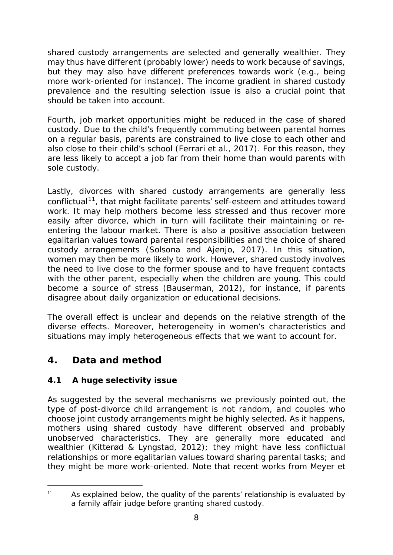shared custody arrangements are selected and generally wealthier. They may thus have different (probably lower) needs to work because of savings, but they may also have different preferences towards work (e.g., being more work-oriented for instance). The income gradient in shared custody prevalence and the resulting selection issue is also a crucial point that should be taken into account.

Fourth, job market opportunities might be reduced in the case of shared custody. Due to the child's frequently commuting between parental homes on a regular basis, parents are constrained to live close to each other and also close to their child's school (Ferrari et al., 2017). For this reason, they are less likely to accept a job far from their home than would parents with sole custody.

Lastly, divorces with shared custody arrangements are generally less conflictual<sup>[11](#page-11-2)</sup>, that might facilitate parents' self-esteem and attitudes toward work. It may help mothers become less stressed and thus recover more easily after divorce, which in turn will facilitate their maintaining or reentering the labour market. There is also a positive association between egalitarian values toward parental responsibilities and the choice of shared custody arrangements (Solsona and Ajenjo, 2017). In this situation, women may then be more likely to work. However, shared custody involves the need to live close to the former spouse and to have frequent contacts with the other parent, especially when the children are young. This could become a source of stress (Bauserman, 2012), for instance, if parents disagree about daily organization or educational decisions.

The overall effect is unclear and depends on the relative strength of the diverse effects. Moreover, heterogeneity in women's characteristics and situations may imply heterogeneous effects that we want to account for.

# <span id="page-11-0"></span>**4. Data and method**

## <span id="page-11-1"></span>*4.1 A huge selectivity issue*

As suggested by the several mechanisms we previously pointed out, the type of post-divorce child arrangement is not random, and couples who choose joint custody arrangements might be highly selected. As it happens, mothers using shared custody have different observed and probably unobserved characteristics. They are generally more educated and wealthier [\(Kitterød](https://www.demographic-research.org/authors/2975.htm) & [Lyngstad,](https://www.demographic-research.org/authors/2976.htm) 2012); they might have less conflictual relationships or more egalitarian values toward sharing parental tasks; and they might be more work-oriented. Note that recent works from Meyer et

<span id="page-11-2"></span><sup>-</sup> $11$  As explained below, the quality of the parents' relationship is evaluated by a family affair judge before granting shared custody.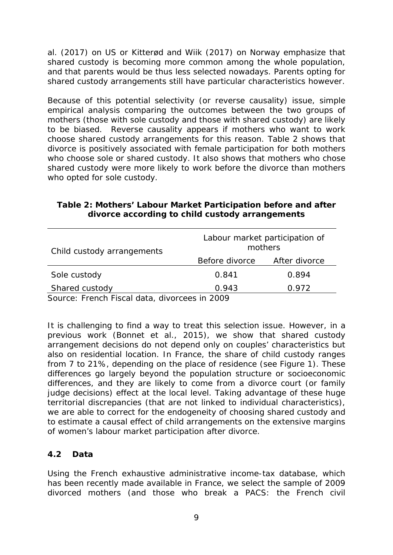al. (2017) on US or Kitterød and Wiik (2017) on Norway emphasize that shared custody is becoming more common among the whole population, and that parents would be thus less selected nowadays. Parents opting for shared custody arrangements still have particular characteristics however.

Because of this potential selectivity (or reverse causality) issue, simple empirical analysis comparing the outcomes between the two groups of mothers (those with sole custody and those with shared custody) are likely to be biased. Reverse causality appears if mothers who want to work choose shared custody arrangements for this reason. Table 2 shows that divorce is positively associated with female participation for both mothers who choose sole or shared custody. It also shows that mothers who chose shared custody were more likely to work before the divorce than mothers who opted for sole custody.

| Child custody arrangements | Labour market participation of<br>mothers |               |  |  |
|----------------------------|-------------------------------------------|---------------|--|--|
|                            | Before divorce                            | After divorce |  |  |
| Sole custody               | 0.841                                     | 0.894         |  |  |
| Shared custody             | 0.943                                     | 0.972         |  |  |

#### **Table 2: Mothers' Labour Market Participation before and after divorce according to child custody arrangements**

*Source: French Fiscal data, divorcees in 2009*

It is challenging to find a way to treat this selection issue. However, in a previous work (Bonnet et al., 2015), we show that shared custody arrangement decisions do not depend only on couples' characteristics but also on residential location. In France, the share of child custody ranges from 7 to 21%, depending on the place of residence (see Figure 1). These differences go largely beyond the population structure or socioeconomic differences, and they are likely to come from a divorce court (or family judge decisions) effect at the local level. Taking advantage of these huge territorial discrepancies (that are not linked to individual characteristics), we are able to correct for the endogeneity of choosing shared custody and to estimate a causal effect of child arrangements on the extensive margins of women's labour market participation after divorce.

#### <span id="page-12-0"></span>*4.2 Data*

Using the French exhaustive administrative income-tax database, which has been recently made available in France, we select the sample of 2009 divorced mothers (and those who break a PACS: the French civil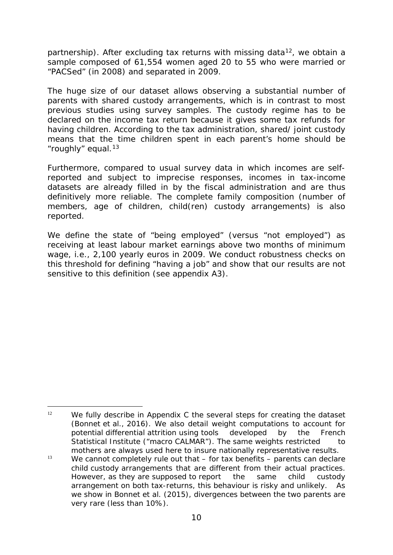partnership). After excluding tax returns with missing data<sup>12</sup>, we obtain a sample composed of 61,554 women aged 20 to 55 who were married or "PACSed" (in 2008) and separated in 2009.

The huge size of our dataset allows observing a substantial number of parents with shared custody arrangements, which is in contrast to most previous studies using survey samples. The custody regime has to be declared on the income tax return because it gives some tax refunds for having children. According to the tax administration, shared/ joint custody means that the time children spent in each parent's home should be "roughly" equal. $13$ 

Furthermore, compared to usual survey data in which incomes are selfreported and subject to imprecise responses, incomes in tax-income datasets are already filled in by the fiscal administration and are thus definitively more reliable. The complete family composition (number of members, age of children, child(ren) custody arrangements) is also reported.

We define the state of "being employed" (versus "not employed") as receiving at least labour market earnings above two months of minimum wage, i.e., 2,100 yearly euros in 2009. We conduct robustness checks on this threshold for defining "having a job" and show that our results are not sensitive to this definition (see appendix A3).

<span id="page-13-0"></span><sup>-</sup> $12$  We fully describe in Appendix C the several steps for creating the dataset (Bonnet et al., 2016). We also detail weight computations to account for potential differential attrition using tools developed by the French Statistical Institute ("macro CALMAR"). The same weights restricted to mothers are always used here to insure nationally representative results.

<span id="page-13-1"></span> $13$  We cannot completely rule out that – for tax benefits – parents can declare child custody arrangements that are different from their actual practices. However, as they are supposed to report the same child custody arrangement on both tax-returns, this behaviour is risky and unlikely. As we show in Bonnet et al. (2015), divergences between the two parents are very rare (less than 10%).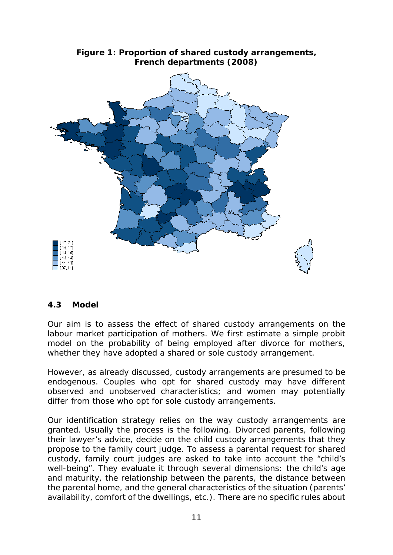

#### **Figure 1: Proportion of shared custody arrangements, French departments (2008)**

#### <span id="page-14-0"></span>*4.3 Model*

Our aim is to assess the effect of shared custody arrangements on the labour market participation of mothers. We first estimate a simple probit model on the probability of being employed after divorce for mothers, whether they have adopted a shared or sole custody arrangement.

However, as already discussed, custody arrangements are presumed to be endogenous. Couples who opt for shared custody may have different observed and unobserved characteristics; and women may potentially differ from those who opt for sole custody arrangements.

Our identification strategy relies on the way custody arrangements are granted. Usually the process is the following. Divorced parents, following their lawyer's advice, decide on the child custody arrangements that they propose to the family court judge. To assess a parental request for shared custody, family court judges are asked to take into account the "child's well-being". They evaluate it through several dimensions: the child's age and maturity, the relationship between the parents, the distance between the parental home, and the general characteristics of the situation (parents' availability, comfort of the dwellings, etc.). There are no specific rules about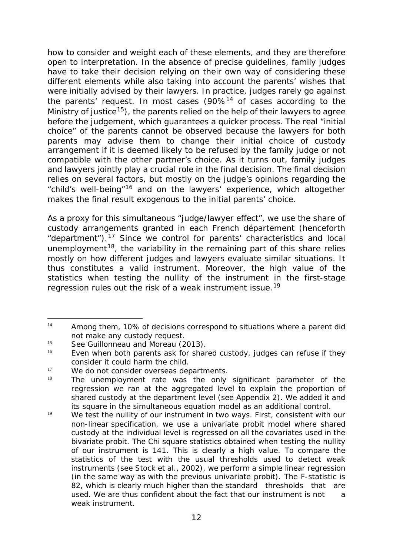how to consider and weight each of these elements, and they are therefore open to interpretation. In the absence of precise guidelines, family judges have to take their decision relying on their own way of considering these different elements while also taking into account the parents' wishes that were initially advised by their lawyers. In practice, judges rarely go against the parents' request. In most cases  $(90\%$ <sup>[14](#page-15-0)</sup> of cases according to the Ministry of justice<sup>[15](#page-15-1)</sup>), the parents relied on the help of their lawyers to agree before the judgement, which guarantees a quicker process. The real "initial choice" of the parents cannot be observed because the lawyers for both parents may advise them to change their initial choice of custody arrangement if it is deemed likely to be refused by the family judge or not compatible with the other partner's choice. As it turns out, family judges and lawyers jointly play a crucial role in the final decision. The final decision relies on several factors, but mostly on the judge's opinions regarding the "child's well-being"[16](#page-15-2) and on the lawyers' experience, which altogether makes the final result exogenous to the initial parents' choice.

As a proxy for this simultaneous "judge/lawyer effect", we use the share of custody arrangements granted in each French *département* (henceforth "department").[17](#page-15-3) Since we control for parents' characteristics and local unemployment<sup>18</sup>, the variability in the remaining part of this share relies mostly on how different judges and lawyers evaluate similar situations. It thus constitutes a valid instrument. Moreover, the high value of the statistics when testing the nullity of the instrument in the first-stage regression rules out the risk of a weak instrument issue.<sup>[19](#page-15-5)</sup>

<span id="page-15-0"></span><sup>-</sup> $14$  Among them, 10% of decisions correspond to situations where a parent did not make any custody request.

<span id="page-15-1"></span><sup>&</sup>lt;sup>15</sup> See Guillonneau and Moreau (2013).

<span id="page-15-2"></span>Even when both parents ask for shared custody, judges can refuse if they consider it could harm the child.

<span id="page-15-3"></span> $17$  We do not consider overseas departments.

<span id="page-15-4"></span>The unemployment rate was the only significant parameter of the regression we ran at the aggregated level to explain the proportion of shared custody at the department level (see Appendix 2). We added it and its square in the simultaneous equation model as an additional control.

<span id="page-15-5"></span> $19$  We test the nullity of our instrument in two ways. First, consistent with our non-linear specification, we use a univariate probit model where shared custody at the individual level is regressed on all the covariates used in the bivariate probit. The Chi square statistics obtained when testing the nullity of our instrument is 141. This is clearly a high value. To compare the statistics of the test with the usual thresholds used to detect weak instruments (see Stock et al., 2002), we perform a simple linear regression (in the same way as with the previous univariate probit). The F-statistic is 82, which is clearly much higher than the standard thresholds that are used. We are thus confident about the fact that our instrument is not a weak instrument.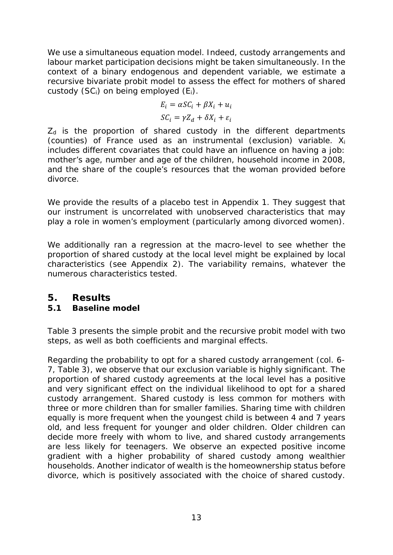We use a simultaneous equation model. Indeed, custody arrangements and labour market participation decisions might be taken simultaneously. In the context of a binary endogenous and dependent variable, we estimate a recursive bivariate probit model to assess the effect for mothers of shared custody (*SCi*) on being employed (*Ei*).

$$
E_i = \alpha S C_i + \beta X_i + u_i
$$
  

$$
S C_i = \gamma Z_d + \delta X_i + \varepsilon_i
$$

 $Z<sub>d</sub>$  is the proportion of shared custody in the different departments (counties) of France used as an instrumental (exclusion) variable.  $X_i$ includes different covariates that could have an influence on having a job: mother's age, number and age of the children, household income in 2008, and the share of the couple's resources that the woman provided before divorce.

We provide the results of a placebo test in Appendix 1. They suggest that our instrument is uncorrelated with unobserved characteristics that may play a role in women's employment (particularly among divorced women).

We additionally ran a regression at the macro-level to see whether the proportion of shared custody at the local level might be explained by local characteristics (see Appendix 2). The variability remains, whatever the numerous characteristics tested.

## <span id="page-16-0"></span>**5. Results**

## <span id="page-16-1"></span>*5.1 Baseline model*

Table 3 presents the simple probit and the recursive probit model with two steps, as well as both coefficients and marginal effects.

Regarding the probability to opt for a shared custody arrangement (col. 6- 7, Table 3), we observe that our exclusion variable is highly significant. The proportion of shared custody agreements at the local level has a positive and very significant effect on the individual likelihood to opt for a shared custody arrangement. Shared custody is less common for mothers with three or more children than for smaller families. Sharing time with children equally is more frequent when the youngest child is between 4 and 7 years old, and less frequent for younger and older children. Older children can decide more freely with whom to live, and shared custody arrangements are less likely for teenagers. We observe an expected positive income gradient with a higher probability of shared custody among wealthier households. Another indicator of wealth is the homeownership status before divorce, which is positively associated with the choice of shared custody.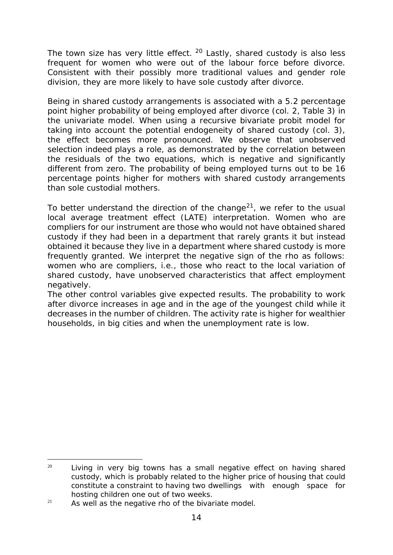The town size has very little effect.  $20$  Lastly, shared custody is also less frequent for women who were out of the labour force before divorce. Consistent with their possibly more traditional values and gender role division, they are more likely to have sole custody after divorce.

Being in shared custody arrangements is associated with a 5.2 percentage point higher probability of being employed after divorce (col. 2, Table 3) in the univariate model. When using a recursive bivariate probit model for taking into account the potential endogeneity of shared custody (col. 3), the effect becomes more pronounced. We observe that unobserved selection indeed plays a role, as demonstrated by the correlation between the residuals of the two equations, which is negative and significantly different from zero. The probability of being employed turns out to be 16 percentage points higher for mothers with shared custody arrangements than sole custodial mothers.

To better understand the direction of the change<sup>[21](#page-17-1)</sup>, we refer to the usual local average treatment effect (LATE) interpretation. Women who are compliers for our instrument are those who would not have obtained shared custody if they had been in a department that rarely grants it but instead obtained it because they live in a department where shared custody is more frequently granted. We interpret the negative sign of the rho as follows: women who are compliers, i.e., those who react to the local variation of shared custody, have unobserved characteristics that affect employment negatively.

The other control variables give expected results. The probability to work after divorce increases in age and in the age of the youngest child while it decreases in the number of children. The activity rate is higher for wealthier households, in big cities and when the unemployment rate is low.

<span id="page-17-0"></span><sup>-</sup> $20$  Living in very big towns has a small negative effect on having shared custody, which is probably related to the higher price of housing that could constitute a constraint to having two dwellings with enough space for hosting children one out of two weeks.

<span id="page-17-1"></span> $21$  As well as the negative rho of the bivariate model.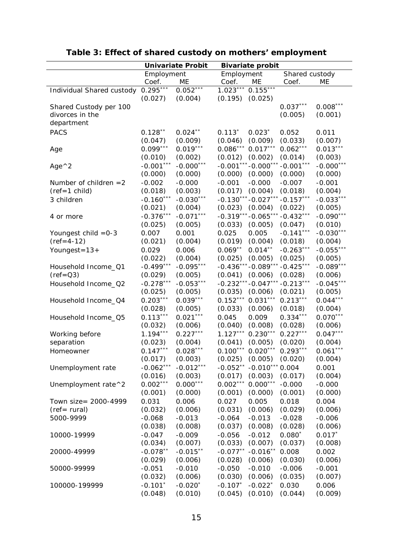|                           |                   | <b>Univariate Probit</b> | <b>Bivariate probit</b> |                  |                |             |
|---------------------------|-------------------|--------------------------|-------------------------|------------------|----------------|-------------|
|                           | Employment        |                          | Employment              |                  | Shared custody |             |
|                           | Coef.             | ME                       | Coef.                   | ME               | Coef.          | ME          |
| Individual Shared custody | $0.295***$        | $0.052***$               | $1.023***$              | $0.155***$       |                |             |
|                           | (0.027)           | (0.004)                  | (0.195)                 | (0.025)          |                |             |
| Shared Custody per 100    |                   |                          |                         |                  | $0.037***$     | $0.008***$  |
| divorces in the           |                   |                          |                         |                  | (0.005)        | (0.001)     |
| department                |                   |                          |                         |                  |                |             |
| <b>PACS</b>               | $0.128**$         | $0.024***$               | $0.113*$                | $0.023*$         | 0.052          | 0.011       |
|                           | (0.047)           | (0.009)                  | (0.046)                 | (0.009)          | (0.033)        | (0.007)     |
| Age                       | $0.099***$        | $0.019***$               | $0.086***$              | $0.017***$       | $0.062***$     | $0.013***$  |
|                           | (0.010)           | (0.002)                  | (0.012)                 | (0.002)          | (0.014)        | (0.003)     |
|                           | $***$<br>$-0.001$ | $-0.000***$              | $-0.001***$             | $-0.000$ ***     | $-0.001***$    | $-0.000***$ |
| Age $^{\wedge}2$          | (0.000)           | (0.000)                  | (0.000)                 | (0.000)          | (0.000)        | (0.000)     |
|                           |                   | $-0.000$                 |                         |                  |                |             |
| Number of children $=2$   | $-0.002$          |                          | $-0.001$                | $-0.000$         | $-0.007$       | $-0.001$    |
| $(ref=1$ child)           | (0.018)           | (0.003)                  | (0.017)                 | (0.004)          | (0.018)        | (0.004)     |
| 3 children                | $-0.160***$       | $-0.030***$              | $-0.130***$             | $-0.027***$      | $-0.157***$    | $-0.033***$ |
|                           | (0.021)           | (0.004)                  | (0.023)                 | (0.004)          | (0.022)        | (0.005)     |
| 4 or more                 | $-0.376***$       | $-0.071***$              | $-0.319***$             | $-0.065***$      | $-0.432***$    | $-0.090***$ |
|                           | (0.025)           | (0.005)                  | (0.033)                 | (0.005)          | (0.047)        | (0.010)     |
| Youngest child = 0-3      | 0.007             | 0.001                    | 0.025                   | 0.005            | $-0.141***$    | $-0.030***$ |
| $(ref = 4-12)$            | (0.021)           | (0.004)                  | (0.019)                 | (0.004)          | (0.018)        | (0.004)     |
| Youngest= $13+$           | 0.029             | 0.006                    | $0.069**$               | $0.014***$       | $-0.263***$    | $-0.055***$ |
|                           | (0.022)           | (0.004)                  | (0.025)                 | (0.005)          | (0.025)        | (0.005)     |
| Household Income_Q1       | $-0.499***$       | $-0.095***$              | $-0.436*$               | $-0.089**$       | $-0.425***$    | $-0.089***$ |
| $(ref = Q3)$              | (0.029)           | (0.005)                  | (0.041)                 | (0.006)          | (0.028)        | (0.006)     |
| Household Income_Q2       | $-0.278***$       | $-0.053***$              | $-0.232***$             | $-0.047***$      | $-0.213***$    | $-0.045***$ |
|                           | (0.025)           | (0.005)                  | (0.035)                 | (0.006)          | (0.021)        | (0.005)     |
| Household Income_Q4       | $0.203***$        | $0.039***$               | $0.152***$              | $0.031***$       | $0.213***$     | $0.044***$  |
|                           | (0.028)           | (0.005)                  | (0.033)                 | (0.006)          | (0.018)        | (0.004)     |
| Household Income_Q5       | $0.113***$        | $0.021***$               | 0.045                   | 0.009            | $0.334***$     | $0.070***$  |
|                           | (0.032)           | (0.006)                  | (0.040)                 | (0.008)          | (0.028)        | (0.006)     |
| Working before            | $1.194***$        | $0.227***$               | $1.127***$              | $0.230***$       | $0.227***$     | $0.047***$  |
| separation                | (0.023)           | (0.004)                  | (0.041)                 | (0.005)          | (0.020)        | (0.004)     |
| Homeowner                 | $0.147***$        | $0.028***$               | $0.100***$              | $0.020***$       | $0.293***$     | $0.061***$  |
|                           | (0.017)           | (0.003)                  | (0.025)                 | (0.005)          | (0.020)        | (0.004)     |
| Unemployment rate         | $-0.062***$       | $-0.012***$              | $-0.052**$              | $-0.010***0.004$ |                | 0.001       |
|                           | (0.016)           | (0.003)                  | (0.017)                 | (0.003)          | (0.017)        | (0.004)     |
| Unemployment rate^2       | $0.002***$        | $0.000***$               | $0.002***$              | $0.000***$       | $-0.000$       | $-0.000$    |
|                           | (0.001)           | (0.000)                  | (0.001)                 | (0.000)          | (0.001)        | (0.000)     |
| Town size= 2000-4999      | 0.031             | 0.006                    | 0.027                   | 0.005            | 0.018          | 0.004       |
| $(ref= rural)$            | (0.032)           | (0.006)                  | (0.031)                 | (0.006)          | (0.029)        | (0.006)     |
| 5000-9999                 | $-0.068$          | $-0.013$                 | $-0.064$                | $-0.013$         | $-0.028$       | $-0.006$    |
|                           | (0.038)           | (0.008)                  | (0.037)                 | (0.008)          | (0.028)        | (0.006)     |
| 10000-19999               | $-0.047$          | $-0.009$                 | $-0.056$                | $-0.012$         | $0.080*$       | $0.017*$    |
|                           | (0.034)           | (0.007)                  | (0.033)                 | (0.007)          | (0.037)        | (0.008)     |
| 20000-49999               | $-0.078**$        | $-0.015**$               | $-0.077**$              | $-0.016**$       | 0.008          | 0.002       |
|                           | (0.029)           | (0.006)                  | (0.028)                 | (0.006)          | (0.030)        | (0.006)     |
| 50000-99999               | $-0.051$          | $-0.010$                 | $-0.050$                | $-0.010$         | $-0.006$       | $-0.001$    |
|                           | (0.032)           | (0.006)                  | (0.030)                 | (0.006)          | (0.035)        | (0.007)     |
| 100000-199999             | $-0.101*$         | $-0.020*$                | $-0.107*$               | $-0.022*$        | 0.030          | 0.006       |
|                           | (0.048)           | (0.010)                  | (0.045)                 | (0.010)          | (0.044)        | (0.009)     |

# **Table 3: Effect of shared custody on mothers' employment**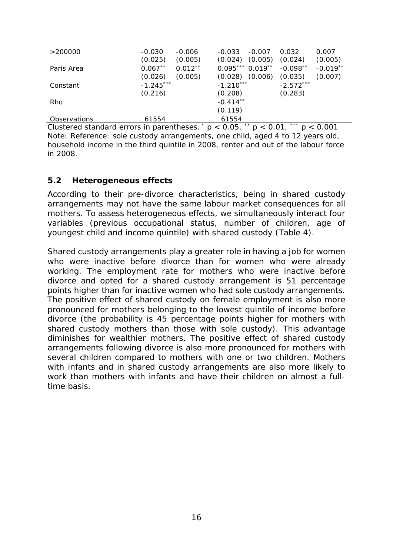| >200000      | $-0.030$<br>(0.025) | $-0.006$<br>(0.005) | $-0.033$<br>(0.024) | $-0.007$<br>(0.005) | 0.032<br>(0.024) | 0.007<br>(0.005) |
|--------------|---------------------|---------------------|---------------------|---------------------|------------------|------------------|
| Paris Area   | $0.067**$           | $0.012**$           | $0.095***0.019**$   |                     | $-0.098**$       | $-0.019**$       |
|              | (0.026)             | (0.005)             | (0.028)             | (0.006)             | (0.035)          | (0.007)          |
| Constant     | $-1.245***$         |                     | $-1.210***$         |                     | $-2.572***$      |                  |
|              | (0.216)             |                     | (0.208)             |                     | (0.283)          |                  |
| Rho          |                     |                     | $-0.414**$          |                     |                  |                  |
|              |                     |                     | (0.119)             |                     |                  |                  |
| Observations | 61554               |                     | 61554               |                     |                  |                  |

Clustered standard errors in parentheses.  $p < 0.05$ ,  $p < 0.01$ ,  $p < 0.001$ Note: Reference: sole custody arrangements, one child, aged 4 to 12 years old, household income in the third quintile in 2008, renter and out of the labour force in 2008.

#### <span id="page-19-0"></span>*5.2 Heterogeneous effects*

According to their pre-divorce characteristics, being in shared custody arrangements may not have the same labour market consequences for all mothers. To assess heterogeneous effects, we simultaneously interact four variables (previous occupational status, number of children, age of youngest child and income quintile) with shared custody (Table 4).

Shared custody arrangements play a greater role in having a job for women who were inactive before divorce than for women who were already working. The employment rate for mothers who were inactive before divorce and opted for a shared custody arrangement is 51 percentage points higher than for inactive women who had sole custody arrangements. The positive effect of shared custody on female employment is also more pronounced for mothers belonging to the lowest quintile of income before divorce (the probability is 45 percentage points higher for mothers with shared custody mothers than those with sole custody). This advantage diminishes for wealthier mothers. The positive effect of shared custody arrangements following divorce is also more pronounced for mothers with several children compared to mothers with one or two children. Mothers with infants and in shared custody arrangements are also more likely to work than mothers with infants and have their children on almost a fulltime basis.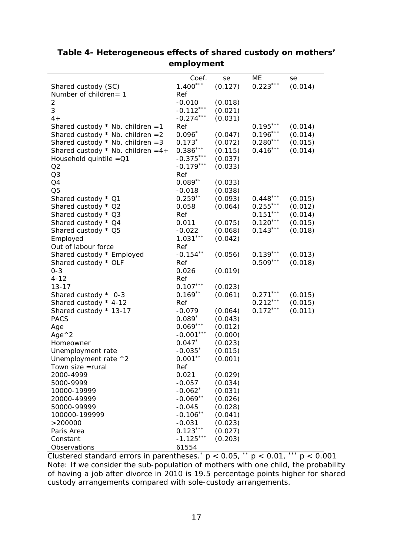|                                                                            | Coef.                 | se                 | МE                       | se                 |
|----------------------------------------------------------------------------|-----------------------|--------------------|--------------------------|--------------------|
| Shared custody (SC)                                                        | $1.400***$            | (0.127)            | $0.223***$               | (0.014)            |
| Number of children= 1                                                      | Ref                   |                    |                          |                    |
| 2                                                                          | $-0.010$              | (0.018)            |                          |                    |
| 3                                                                          | $-0.112***$           | (0.021)            |                          |                    |
| $4 +$                                                                      | $-0.274***$           | (0.031)            |                          |                    |
|                                                                            | Ref                   |                    | $0.195***$               |                    |
| Shared custody $*$ Nb. children = 1<br>Shared custody $*$ Nb. children = 2 | $0.096*$              | (0.047)            | $0.196***$               | (0.014)<br>(0.014) |
| Shared custody $*$ Nb. children = 3                                        | $0.173*$              | (0.072)            | $0.280***$               | (0.015)            |
| Shared custody $*$ Nb. children = 4+                                       | $0.386***$            | (0.115)            | $0.416***$               | (0.014)            |
| Household quintile $=$ $Q1$                                                | $-0.375***$           | (0.037)            |                          |                    |
| Q2                                                                         | $-0.179***$           | (0.033)            |                          |                    |
| Q3                                                                         |                       |                    |                          |                    |
| Q4                                                                         | Ref<br>$0.089**$      | (0.033)            |                          |                    |
| Q <sub>5</sub>                                                             |                       | (0.038)            |                          |                    |
|                                                                            | $-0.018$<br>$0.259**$ | (0.093)            | $0.448***$               |                    |
| Shared custody * Q1                                                        |                       |                    | $0.255***$               | (0.015)            |
| Shared custody * Q2                                                        | 0.058<br>Ref          | (0.064)            | $0.151***$               | (0.012)            |
| Shared custody * Q3                                                        |                       |                    | $0.120***$               | (0.014)            |
| Shared custody * Q4                                                        | 0.011<br>$-0.022$     | (0.075)<br>(0.068) | $0.143***$               | (0.015)            |
| Shared custody * Q5                                                        | $1.031***$            |                    |                          | (0.018)            |
| Employed                                                                   | Ref                   | (0.042)            |                          |                    |
| Out of labour force                                                        | $-0.154***$           |                    |                          |                    |
| Shared custody * Employed                                                  |                       | (0.056)            | $0.139***$<br>$0.509***$ | (0.013)            |
| Shared custody * OLF                                                       | Ref                   |                    |                          | (0.018)            |
| $0 - 3$                                                                    | 0.026                 | (0.019)            |                          |                    |
| $4 - 12$                                                                   | Ref                   |                    |                          |                    |
| $13 - 17$                                                                  | $0.107***$            | (0.023)            |                          |                    |
| Shared custody * 0-3                                                       | $0.169**$             | (0.061)            | $0.271***$               | (0.015)            |
| Shared custody * 4-12                                                      | Ref                   |                    | $0.212***$               | (0.015)            |
| Shared custody * 13-17                                                     | $-0.079$              | (0.064)            | $0.172***$               | (0.011)            |
| <b>PACS</b>                                                                | $0.089*$              | (0.043)            |                          |                    |
| Age                                                                        | $0.069***$            | (0.012)            |                          |                    |
| Age $^{\wedge}2$                                                           | $-0.001***$           | (0.000)            |                          |                    |
| Homeowner                                                                  | $0.047*$              | (0.023)            |                          |                    |
| Unemployment rate                                                          | $-0.035*$             | (0.015)            |                          |                    |
| Unemployment rate ^2                                                       | $0.001***$            | (0.001)            |                          |                    |
| Town size =rural                                                           | Ref                   |                    |                          |                    |
| 2000-4999                                                                  | 0.021                 | (0.029)            |                          |                    |
| 5000-9999                                                                  | $-0.057$              | (0.034)            |                          |                    |
| 10000-19999                                                                | $-0.062$ <sup>*</sup> | (0.031)            |                          |                    |
| 20000-49999                                                                | $-0.069**$            | (0.026)            |                          |                    |
| 50000-99999                                                                | $-0.045$              | (0.028)            |                          |                    |
| 100000-199999                                                              | $-0.106**$            | (0.041)            |                          |                    |
| >200000                                                                    | $-0.031$              | (0.023)            |                          |                    |
| Paris Area                                                                 | $0.123***$            | (0.027)            |                          |                    |
| Constant                                                                   | $-1.125***$           | (0.203)            |                          |                    |
| Observations                                                               | 61554                 |                    |                          |                    |

**Table 4- Heterogeneous effects of shared custody on mothers' employment**

Clustered standard errors in parentheses.<sup>\*</sup>  $p$  < 0.05,  $\alpha$ <sup>\*</sup>  $p$  < 0.01,  $\alpha$ <sup>\*\*</sup>  $p$  < 0.001 Note: If we consider the sub-population of mothers with one child, the probability of having a job after divorce in 2010 is 19.5 percentage points higher for shared custody arrangements compared with sole-custody arrangements.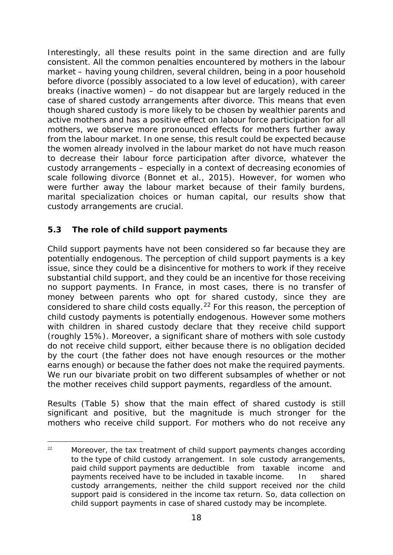Interestingly, all these results point in the same direction and are fully consistent. All the common penalties encountered by mothers in the labour market – having young children, several children, being in a poor household before divorce (possibly associated to a low level of education), with career breaks (inactive women) – do not disappear but are largely reduced in the case of shared custody arrangements after divorce. This means that even though shared custody is more likely to be chosen by wealthier parents and active mothers and has a positive effect on labour force participation for all mothers, we observe more pronounced effects for mothers further away from the labour market. In one sense, this result could be expected because the women already involved in the labour market do not have much reason to decrease their labour force participation after divorce, whatever the custody arrangements – especially in a context of decreasing economies of scale following divorce (Bonnet et al., 2015). However, for women who were further away the labour market because of their family burdens, marital specialization choices or human capital, our results show that custody arrangements are crucial.

### <span id="page-21-0"></span>*5.3 The role of child support payments*

Child support payments have not been considered so far because they are potentially endogenous. The perception of child support payments is a key issue, since they could be a disincentive for mothers to work if they receive substantial child support, and they could be an incentive for those receiving no support payments. In France, in most cases, there is no transfer of money between parents who opt for shared custody, since they are considered to share child costs equally.<sup>[22](#page-21-1)</sup> For this reason, the perception of child custody payments is potentially endogenous. However some mothers with children in shared custody declare that they receive child support (roughly 15%). Moreover, a significant share of mothers with sole custody do not receive child support, either because there is no obligation decided by the court (the father does not have enough resources or the mother earns enough) or because the father does not make the required payments. We run our bivariate probit on two different subsamples of whether or not the mother receives child support payments, regardless of the amount.

Results (Table 5) show that the main effect of shared custody is still significant and positive, but the magnitude is much stronger for the mothers who receive child support. For mothers who do not receive any

<span id="page-21-1"></span><sup>-</sup><sup>22</sup> Moreover, the tax treatment of child support payments changes according to the type of child custody arrangement. In sole custody arrangements, paid child support payments are deductible from taxable income and payments received have to be included in taxable income. In shared custody arrangements, neither the child support received nor the child support paid is considered in the income tax return. So, data collection on child support payments in case of shared custody may be incomplete.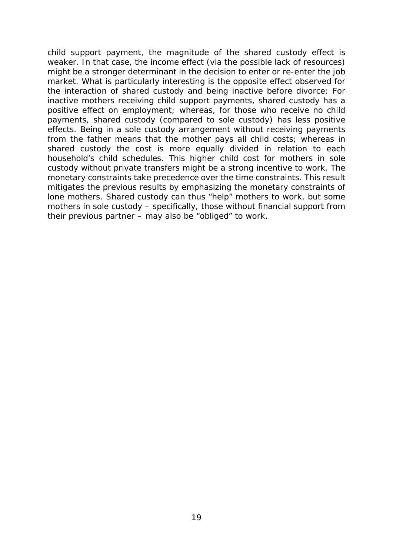child support payment, the magnitude of the shared custody effect is weaker. In that case, the income effect (via the possible lack of resources) might be a stronger determinant in the decision to enter or re-enter the job market. What is particularly interesting is the opposite effect observed for the interaction of shared custody and being inactive before divorce: For inactive mothers receiving child support payments, shared custody has a positive effect on employment; whereas, for those who receive no child payments, shared custody (compared to sole custody) has less positive effects. Being in a sole custody arrangement without receiving payments from the father means that the mother pays all child costs; whereas in shared custody the cost is more equally divided in relation to each household's child schedules. This higher child cost for mothers in sole custody without private transfers might be a strong incentive to work. The monetary constraints take precedence over the time constraints. This result mitigates the previous results by emphasizing the monetary constraints of lone mothers. Shared custody can thus "help" mothers to work, but some mothers in sole custody – specifically, those without financial support from their previous partner – may also be "obliged" to work.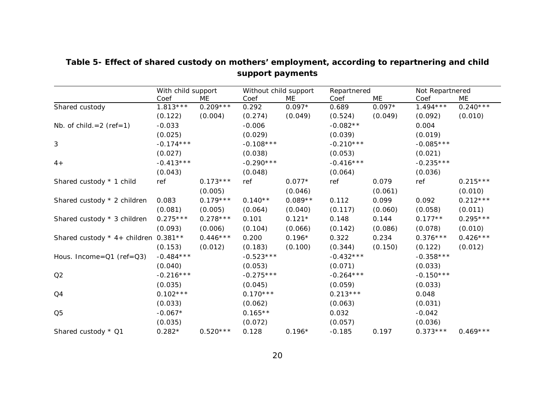|                                      | With child support |            | Without child support |           | Repartnered |          | Not Repartnered |            |
|--------------------------------------|--------------------|------------|-----------------------|-----------|-------------|----------|-----------------|------------|
|                                      | Coef               | МE         | Coef                  | ME        | Coef        | ME       | Coef            | ME         |
| Shared custody                       | $1.813***$         | $0.209***$ | 0.292                 | $0.097*$  | 0.689       | $0.097*$ | $1.494***$      | $0.240***$ |
|                                      | (0.122)            | (0.004)    | (0.274)               | (0.049)   | (0.524)     | (0.049)  | (0.092)         | (0.010)    |
| Nb. of child. $= 2$ (ref=1)          | $-0.033$           |            | $-0.006$              |           | $-0.082**$  |          | 0.004           |            |
|                                      | (0.025)            |            | (0.029)               |           | (0.039)     |          | (0.019)         |            |
| 3                                    | $-0.174***$        |            | $-0.108***$           |           | $-0.210***$ |          | $-0.085***$     |            |
|                                      | (0.027)            |            | (0.038)               |           | (0.053)     |          | (0.021)         |            |
| $4+$                                 | $-0.413***$        |            | $-0.290***$           |           | $-0.416***$ |          | $-0.235***$     |            |
|                                      | (0.043)            |            | (0.048)               |           | (0.064)     |          | (0.036)         |            |
| Shared custody * 1 child             | ref                | $0.173***$ | ref                   | $0.077*$  | ref         | 0.079    | ref             | $0.215***$ |
|                                      |                    | (0.005)    |                       | (0.046)   |             | (0.061)  |                 | (0.010)    |
| Shared custody * 2 children          | 0.083              | $0.179***$ | $0.140**$             | $0.089**$ | 0.112       | 0.099    | 0.092           | $0.212***$ |
|                                      | (0.081)            | (0.005)    | (0.064)               | (0.040)   | (0.117)     | (0.060)  | (0.058)         | (0.011)    |
| Shared custody * 3 children          | $0.275***$         | $0.278***$ | 0.101                 | $0.121*$  | 0.148       | 0.144    | $0.177**$       | $0.295***$ |
|                                      | (0.093)            | (0.006)    | (0.104)               | (0.066)   | (0.142)     | (0.086)  | (0.078)         | (0.010)    |
| Shared custody * 4+ children 0.381** |                    | $0.446***$ | 0.200                 | $0.196*$  | 0.322       | 0.234    | $0.376***$      | $0.426***$ |
|                                      | (0.153)            | (0.012)    | (0.183)               | (0.100)   | (0.344)     | (0.150)  | (0.122)         | (0.012)    |
| Hous. Income= $Q1$ (ref= $Q3$ )      | $-0.484***$        |            | $-0.523***$           |           | $-0.432***$ |          | $-0.358***$     |            |
|                                      | (0.040)            |            | (0.053)               |           | (0.071)     |          | (0.033)         |            |
| Q2                                   | $-0.216***$        |            | $-0.275***$           |           | $-0.264***$ |          | $-0.150***$     |            |
|                                      | (0.035)            |            | (0.045)               |           | (0.059)     |          | (0.033)         |            |
| Q4                                   | $0.102***$         |            | $0.170***$            |           | $0.213***$  |          | 0.048           |            |
|                                      | (0.033)            |            | (0.062)               |           | (0.063)     |          | (0.031)         |            |
| Q <sub>5</sub>                       | $-0.067*$          |            | $0.165**$             |           | 0.032       |          | $-0.042$        |            |
|                                      | (0.035)            |            | (0.072)               |           | (0.057)     |          | (0.036)         |            |
| Shared custody * Q1                  | $0.282*$           | $0.520***$ | 0.128                 | $0.196*$  | $-0.185$    | 0.197    | $0.373***$      | $0.469***$ |

# **Table 5- Effect of shared custody on mothers' employment, according to repartnering and child support payments**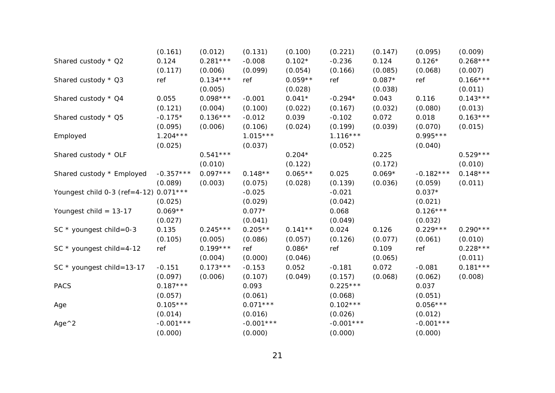|                               | (0.161)     | (0.012)    | (0.131)     | (0.100)   | (0.221)     | (0.147)  | (0.095)     | (0.009)    |
|-------------------------------|-------------|------------|-------------|-----------|-------------|----------|-------------|------------|
| Shared custody * Q2           | 0.124       | $0.281***$ | $-0.008$    | $0.102*$  | $-0.236$    | 0.124    | $0.126*$    | $0.268***$ |
|                               | (0.117)     | (0.006)    | (0.099)     | (0.054)   | (0.166)     | (0.085)  | (0.068)     | (0.007)    |
| Shared custody * Q3           | ref         | $0.134***$ | ref         | $0.059**$ | ref         | $0.087*$ | ref         | $0.166***$ |
|                               |             | (0.005)    |             | (0.028)   |             | (0.038)  |             | (0.011)    |
| Shared custody * Q4           | 0.055       | $0.098***$ | $-0.001$    | $0.041*$  | $-0.294*$   | 0.043    | 0.116       | $0.143***$ |
|                               | (0.121)     | (0.004)    | (0.100)     | (0.022)   | (0.167)     | (0.032)  | (0.080)     | (0.013)    |
| Shared custody * Q5           | $-0.175*$   | $0.136***$ | $-0.012$    | 0.039     | $-0.102$    | 0.072    | 0.018       | $0.163***$ |
|                               | (0.095)     | (0.006)    | (0.106)     | (0.024)   | (0.199)     | (0.039)  | (0.070)     | (0.015)    |
| Employed                      | $1.204***$  |            | $1.015***$  |           | $1.116***$  |          | $0.995***$  |            |
|                               | (0.025)     |            | (0.037)     |           | (0.052)     |          | (0.040)     |            |
| Shared custody * OLF          |             | $0.541***$ |             | $0.204*$  |             | 0.225    |             | $0.529***$ |
|                               |             | (0.010)    |             | (0.122)   |             | (0.172)  |             | (0.010)    |
| Shared custody * Employed     | $-0.357***$ | $0.097***$ | $0.148**$   | $0.065**$ | 0.025       | $0.069*$ | $-0.182***$ | $0.148***$ |
|                               | (0.089)     | (0.003)    | (0.075)     | (0.028)   | (0.139)     | (0.036)  | (0.059)     | (0.011)    |
| Youngest child 0-3 (ref=4-12) | $0.071***$  |            | $-0.025$    |           | $-0.021$    |          | $0.037*$    |            |
|                               | (0.025)     |            | (0.029)     |           | (0.042)     |          | (0.021)     |            |
| Youngest child = $13-17$      | $0.069**$   |            | $0.077*$    |           | 0.068       |          | $0.126***$  |            |
|                               | (0.027)     |            | (0.041)     |           | (0.049)     |          | (0.032)     |            |
| SC $*$ youngest child=0-3     | 0.135       | $0.245***$ | $0.205**$   | $0.141**$ | 0.024       | 0.126    | $0.229***$  | $0.290***$ |
|                               | (0.105)     | (0.005)    | (0.086)     | (0.057)   | (0.126)     | (0.077)  | (0.061)     | (0.010)    |
| SC $*$ youngest child=4-12    | ref         | $0.199***$ | ref         | $0.086*$  | ref         | 0.109    | ref         | $0.228***$ |
|                               |             | (0.004)    | (0.000)     | (0.046)   |             | (0.065)  |             | (0.011)    |
| SC $*$ youngest child=13-17   | $-0.151$    | $0.173***$ | $-0.153$    | 0.052     | $-0.181$    | 0.072    | $-0.081$    | $0.181***$ |
|                               | (0.097)     | (0.006)    | (0.107)     | (0.049)   | (0.157)     | (0.068)  | (0.062)     | (0.008)    |
| <b>PACS</b>                   | $0.187***$  |            | 0.093       |           | $0.225***$  |          | 0.037       |            |
|                               | (0.057)     |            | (0.061)     |           | (0.068)     |          | (0.051)     |            |
| Age                           | $0.105***$  |            | $0.071***$  |           | $0.102***$  |          | $0.056***$  |            |
|                               | (0.014)     |            | (0.016)     |           | (0.026)     |          | (0.012)     |            |
| Age $^{\wedge}2$              | $-0.001***$ |            | $-0.001***$ |           | $-0.001***$ |          | $-0.001***$ |            |
|                               | (0.000)     |            | (0.000)     |           | (0.000)     |          | (0.000)     |            |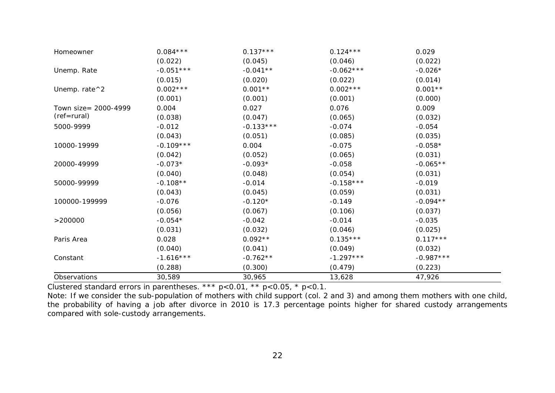| Homeowner              | $0.084***$  | $0.137***$  | $0.124***$  | 0.029       |
|------------------------|-------------|-------------|-------------|-------------|
|                        | (0.022)     | (0.045)     | (0.046)     | (0.022)     |
| Unemp. Rate            | $-0.051***$ | $-0.041**$  | $-0.062***$ | $-0.026*$   |
|                        | (0.015)     | (0.020)     | (0.022)     | (0.014)     |
| Unemp. rate $\wedge$ 2 | $0.002***$  | $0.001**$   | $0.002***$  | $0.001**$   |
|                        | (0.001)     | (0.001)     | (0.001)     | (0.000)     |
| Town size= 2000-4999   | 0.004       | 0.027       | 0.076       | 0.009       |
| (ref=rural)            | (0.038)     | (0.047)     | (0.065)     | (0.032)     |
| 5000-9999              | $-0.012$    | $-0.133***$ | $-0.074$    | $-0.054$    |
|                        | (0.043)     | (0.051)     | (0.085)     | (0.035)     |
| 10000-19999            | $-0.109***$ | 0.004       | $-0.075$    | $-0.058*$   |
|                        | (0.042)     | (0.052)     | (0.065)     | (0.031)     |
| 20000-49999            | $-0.073*$   | $-0.093*$   | $-0.058$    | $-0.065**$  |
|                        | (0.040)     | (0.048)     | (0.054)     | (0.031)     |
| 50000-99999            | $-0.108**$  | $-0.014$    | $-0.158***$ | $-0.019$    |
|                        | (0.043)     | (0.045)     | (0.059)     | (0.031)     |
| 100000-199999          | $-0.076$    | $-0.120*$   | $-0.149$    | $-0.094**$  |
|                        | (0.056)     | (0.067)     | (0.106)     | (0.037)     |
| >200000                | $-0.054*$   | $-0.042$    | $-0.014$    | $-0.035$    |
|                        | (0.031)     | (0.032)     | (0.046)     | (0.025)     |
| Paris Area             | 0.028       | $0.092**$   | $0.135***$  | $0.117***$  |
|                        | (0.040)     | (0.041)     | (0.049)     | (0.032)     |
| Constant               | $-1.616***$ | $-0.762**$  | $-1.297***$ | $-0.987***$ |
|                        | (0.288)     | (0.300)     | (0.479)     | (0.223)     |
| Observations           | 30,589      | 30,965      | 13,628      | 47,926      |

Clustered standard errors in parentheses. \*\*\* p<0.01, \*\* p<0.05, \* p<0.1.

Note: If we consider the sub-population of mothers with child support (col. 2 and 3) and among them mothers with one child, the probability of having a job after divorce in 2010 is 17.3 percentage points higher for shared custody arrangements compared with sole-custody arrangements.

 $\sim$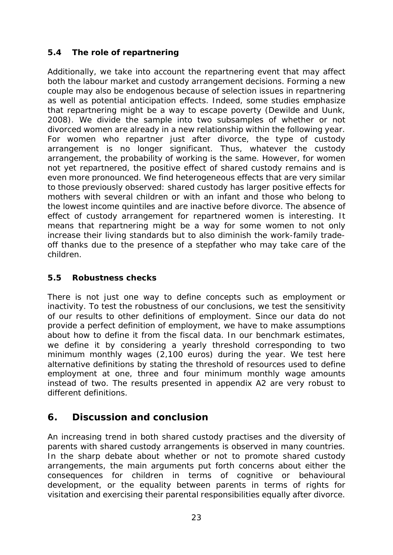## <span id="page-26-0"></span>*5.4 The role of repartnering*

Additionally, we take into account the repartnering event that may affect both the labour market and custody arrangement decisions. Forming a new couple may also be endogenous because of selection issues in repartnering as well as potential anticipation effects. Indeed, some studies emphasize that repartnering might be a way to escape poverty (Dewilde and Uunk, 2008). We divide the sample into two subsamples of whether or not divorced women are already in a new relationship within the following year. For women who repartner just after divorce, the type of custody arrangement is no longer significant. Thus, whatever the custody arrangement, the probability of working is the same. However, for women not yet repartnered, the positive effect of shared custody remains and is even more pronounced. We find heterogeneous effects that are very similar to those previously observed: shared custody has larger positive effects for mothers with several children or with an infant and those who belong to the lowest income quintiles and are inactive before divorce. The absence of effect of custody arrangement for repartnered women is interesting. It means that repartnering might be a way for some women to not only increase their living standards but to also diminish the work-family tradeoff thanks due to the presence of a stepfather who may take care of the children.

#### <span id="page-26-1"></span>*5.5 Robustness checks*

There is not just one way to define concepts such as employment or inactivity. To test the robustness of our conclusions, we test the sensitivity of our results to other definitions of employment. Since our data do not provide a perfect definition of employment, we have to make assumptions about how to define it from the fiscal data. In our benchmark estimates, we define it by considering a yearly threshold corresponding to two minimum monthly wages (2,100 euros) during the year. We test here alternative definitions by stating the threshold of resources used to define employment at one, three and four minimum monthly wage amounts instead of two. The results presented in appendix A2 are very robust to different definitions.

## <span id="page-26-2"></span>**6. Discussion and conclusion**

An increasing trend in both shared custody practises and the diversity of parents with shared custody arrangements is observed in many countries. In the sharp debate about whether or not to promote shared custody arrangements, the main arguments put forth concerns about either the consequences for children in terms of cognitive or behavioural development, or the equality between parents in terms of rights for visitation and exercising their parental responsibilities equally after divorce.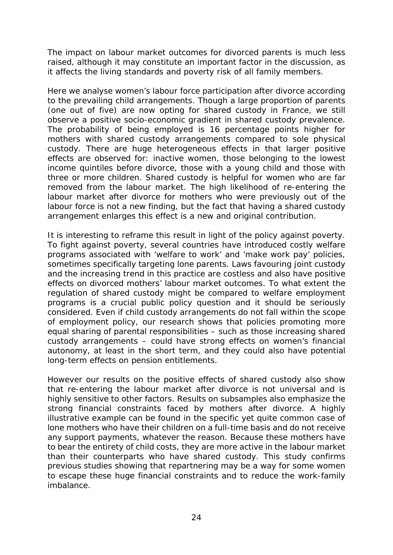The impact on labour market outcomes for divorced parents is much less raised, although it may constitute an important factor in the discussion, as it affects the living standards and poverty risk of all family members.

Here we analyse women's labour force participation after divorce according to the prevailing child arrangements. Though a large proportion of parents (one out of five) are now opting for shared custody in France, we still observe a positive socio-economic gradient in shared custody prevalence. The probability of being employed is 16 percentage points higher for mothers with shared custody arrangements compared to sole physical custody. There are huge heterogeneous effects in that larger positive effects are observed for: inactive women, those belonging to the lowest income quintiles before divorce, those with a young child and those with three or more children. Shared custody is helpful for women who are far removed from the labour market. The high likelihood of re-entering the labour market after divorce for mothers who were previously out of the labour force is not a new finding, but the fact that having a shared custody arrangement enlarges this effect is a new and original contribution.

It is interesting to reframe this result in light of the policy against poverty. To fight against poverty, several countries have introduced costly welfare programs associated with 'welfare to work' and 'make work pay' policies, sometimes specifically targeting lone parents. Laws favouring joint custody and the increasing trend in this practice are costless and also have positive effects on divorced mothers' labour market outcomes. To what extent the regulation of shared custody might be compared to welfare employment programs is a crucial public policy question and it should be seriously considered. Even if child custody arrangements do not fall within the scope of employment policy, our research shows that policies promoting more equal sharing of parental responsibilities – such as those increasing shared custody arrangements – could have strong effects on women's financial autonomy, at least in the short term, and they could also have potential long-term effects on pension entitlements.

However our results on the positive effects of shared custody also show that re-entering the labour market after divorce is not universal and is highly sensitive to other factors. Results on subsamples also emphasize the strong financial constraints faced by mothers after divorce. A highly illustrative example can be found in the specific yet quite common case of lone mothers who have their children on a full-time basis and do not receive any support payments, whatever the reason. Because these mothers have to bear the entirety of child costs, they are more active in the labour market than their counterparts who have shared custody. This study confirms previous studies showing that repartnering may be a way for some women to escape these huge financial constraints and to reduce the work-family imbalance.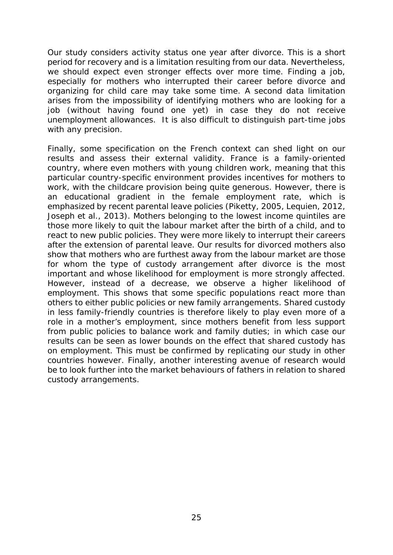Our study considers activity status one year after divorce. This is a short period for recovery and is a limitation resulting from our data. Nevertheless, we should expect even stronger effects over more time. Finding a job, especially for mothers who interrupted their career before divorce and organizing for child care may take some time. A second data limitation arises from the impossibility of identifying mothers who are looking for a job (without having found one yet) in case they do not receive unemployment allowances. It is also difficult to distinguish part-time jobs with any precision.

Finally, some specification on the French context can shed light on our results and assess their external validity. France is a family-oriented country, where even mothers with young children work, meaning that this particular country-specific environment provides incentives for mothers to work, with the childcare provision being quite generous. However, there is an educational gradient in the female employment rate, which is emphasized by recent parental leave policies (Piketty, 2005, Lequien, 2012, Joseph et al., 2013). Mothers belonging to the lowest income quintiles are those more likely to quit the labour market after the birth of a child, and to react to new public policies. They were more likely to interrupt their careers after the extension of parental leave. Our results for divorced mothers also show that mothers who are furthest away from the labour market are those for whom the type of custody arrangement after divorce is the most important and whose likelihood for employment is more strongly affected. However, instead of a decrease, we observe a higher likelihood of employment. This shows that some specific populations react more than others to either public policies or new family arrangements. Shared custody in less family-friendly countries is therefore likely to play even more of a role in a mother's employment, since mothers benefit from less support from public policies to balance work and family duties; in which case our results can be seen as lower bounds on the effect that shared custody has on employment. This must be confirmed by replicating our study in other countries however. Finally, another interesting avenue of research would be to look further into the market behaviours of fathers in relation to shared custody arrangements.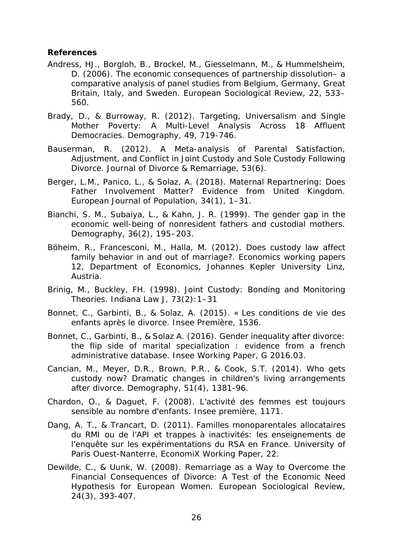#### **References**

- Andress, HJ., Borgloh, B., Brockel, M., Giesselmann, M., & Hummelsheim, D. (2006). The economic consequences of partnership dissolution– a comparative analysis of panel studies from Belgium, Germany, Great Britain, Italy, and Sweden. *European Sociological Review*, 22, 533– 560.
- Brady, D., & Burroway, R. (2012). Targeting, Universalism and Single Mother Poverty: A Multi-Level Analysis Across 18 Affluent Democracies. *Demography*, 49, 719-746.
- Bauserman, R. (2012). A Meta-analysis of Parental Satisfaction, Adjustment, and Conflict in Joint Custody and Sole Custody Following Divorce. *[Journal of Divorce & Remarriage](http://www.tandfonline.com/toc/wjdr20/current)*, 53(6).
- Berger, L.M., Panico, L., & Solaz, A. (2018). Maternal Repartnering: Does Father Involvement Matter? Evidence from United Kingdom. *European Journal of Population,* 34(1), 1–31.
- Bianchi, S. M., Subaiya, L., & Kahn, J. R. (1999). The gender gap in the economic well-being of nonresident fathers and custodial mothers. *Demography*, 36(2), 195–203.
- Böheim, R., Francesconi, M., Halla, M. (2012). [Does custody law affect](https://ideas.repec.org/p/jku/econwp/2012_12.html)  [family behavior in and out of marriage?.](https://ideas.repec.org/p/jku/econwp/2012_12.html) *[Economics working papers](https://ideas.repec.org/s/jku/econwp.html)* 12, Department of Economics, Johannes Kepler University Linz, Austria.
- Brinig, M., Buckley, FH. (1998). Joint Custody: Bonding and Monitoring Theories. *Indiana Law J,* 73(2):1–31
- Bonnet, C., Garbinti, B., & Solaz, A. (2015). « [Les conditions de vie des](http://www.insee.fr/fr/themes/document.asp?reg_id=0&id=4454%C2)  [enfants après le divorce.](http://www.insee.fr/fr/themes/document.asp?reg_id=0&id=4454%C2) *Insee Première,* 1536.
- Bonnet, C., Garbinti, B., & Solaz A. (2016). Gender inequality after divorce: the flip side of marital specialization : evidence from a french administrative database. *Insee Working Paper*, G 2016.03.
- Cancian, M., Meyer, D.R., Brown, P.R., & [Cook,](http://www.ncbi.nlm.nih.gov/pubmed/?term=Cook%20ST%5BAuthor%5D&cauthor=true&cauthor_uid=24811135) S.T. (2014). Who gets custody now? Dramatic changes in children's living arrangements after divorce. *[Demography](http://www.ncbi.nlm.nih.gov/pubmed/24811135)*, 51(4), 1381-96.
- Chardon, O., & Daguet, F. (2008). L'activité des femmes est toujours sensible au nombre d'enfants. *Insee première,* 1171.
- Dang, A. T., & Trancart, D. (2011). Familles monoparentales allocataires du RMI ou de l'API et trappes à inactivités: les enseignements de l'enquête sur les expérimentations du RSA en France. University of Paris Ouest-Nanterre, *EconomiX Working Paper*, 22.
- Dewilde, C., & Uunk, W. (2008). Remarriage as a Way to Overcome the Financial Consequences of Divorce: A Test of the Economic Need Hypothesis for European Women. *European Sociological Review*, 24(3), 393-407.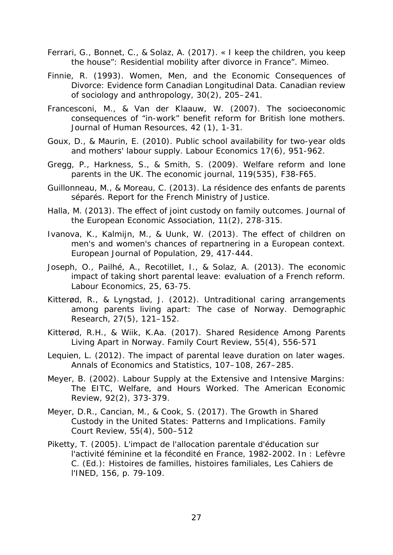- Ferrari, G., Bonnet, C., & Solaz, A. (2017). « I keep the children, you keep the house": Residential mobility after divorce in France". Mimeo.
- Finnie, R. (1993). Women, Men, and the Economic Consequences of Divorce: Evidence form Canadian Longitudinal Data. *Canadian review of sociology and anthropology*, 30(2), 205–241.
- Francesconi, M., & Van der Klaauw, W. (2007). [The socioeconomic](https://scholar.google.com/citations?view_op=view_citation&hl=fr&user=8CC5N-YAAAAJ&citation_for_view=8CC5N-YAAAAJ:IjCSPb-OGe4C)  [consequences of "in-work" benefit reform for British lone mothers.](https://scholar.google.com/citations?view_op=view_citation&hl=fr&user=8CC5N-YAAAAJ&citation_for_view=8CC5N-YAAAAJ:IjCSPb-OGe4C) *Journal of Human Resources,* 42 (1), 1-31.
- Goux, D., & Maurin, E. (2010). Public school availability for two-year olds and mothers' labour supply. *Labour Economics* 17(6), 951-962.
- Gregg, P., Harkness, S., & Smith, S. (2009). Welfare reform and lone parents in the UK. *The economic journal*, 119(535), F38-F65.
- Guillonneau, M., & Moreau, C. (2013). La résidence des enfants de parents séparés. *Report for the French Ministry of Justice*.
- Halla, M. (2013). The effect of joint custody on family outcomes. *Journal of the European Economic Association*, *11*(2), 278-315.
- Ivanova, K., Kalmijn, M., & Uunk, W. (2013). The effect of children on men's and women's chances of repartnering in a European context. *European Journal of Population*, 29, 417-444.
- Joseph, O., Pailhé, A., Recotillet, I., & Solaz, A. (2013). The economic impact of taking short parental leave: evaluation of a French reform. *Labour Economics*, 25, 63-75.
- Kitterød, R., & [Lyngstad,](https://www.demographic-research.org/authors/2976.htm) J. (2012). Untraditional caring arrangements among parents living apart: The case of Norway. *Demographic Research*, [27\(](https://www.demographic-research.org/volumes/vol27/default.htm)5), 121–152.
- Kitterød, R.H., & Wiik, K.Aa. (2017). Shared Residence Among Parents Living Apart in Norway. *Family Court Review*, 55(4), 556-571
- Lequien, L. (2012). The impact of parental leave duration on later wages. *Annals of Economics and Statistics,* 107–108, 267–285.
- Meyer, B. (2002). Labour Supply at the Extensive and Intensive Margins: The EITC, Welfare, and Hours Worked. *The American Economic Review*, 92(2), 373-379.
- Meyer, D.R., Cancian, M., & Cook, S. (2017). The Growth in Shared Custody in the United States: Patterns and Implications. *Family Court Review*, 55(4), 500–512
- Piketty, T. (2005). L'impact de l'allocation parentale d'éducation sur l'activité féminine et la fécondité en France, 1982-2002. *In* : Lefèvre C. (Ed.): Histoires de familles, histoires familiales, Les Cahiers de l'INED, 156, p. 79-109.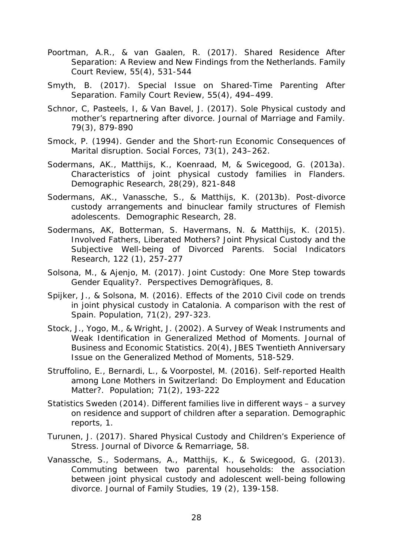- Poortman, A.R., & van Gaalen, R. (2017). Shared Residence After Separation: A Review and New Findings from the Netherlands. *Family Court Review*, 55(4), 531-544
- Smyth, B. (2017). Special Issue on Shared-Time Parenting After Separation. *Family Court Review*, 55(4), 494–499.
- Schnor, C, Pasteels, I, & Van Bavel, J. (2017). Sole Physical custody and mother's repartnering after divorce. *[Journal of Marriage and Family](http://onlinelibrary.wiley.com/journal/10.1111/%28ISSN%291741-3737)*. [79\(3\)](http://onlinelibrary.wiley.com/doi/10.1111/jomf.2017.79.issue-3/issuetoc), 879-890
- Smock, P. (1994). Gender and the Short-run Economic Consequences of Marital disruption. *Social Forces*, 73(1), 243–262.
- Sodermans, AK., Matthijs, K., Koenraad, M, & Swicegood, G. (2013a). Characteristics of joint physical custody families in Flanders. *Demographic Research*, 28(29), 821-848
- Sodermans, AK., Vanassche, S., & Matthijs, K. (2013b). Post-divorce custody arrangements and binuclear family structures of Flemish adolescents. *Demographic Research*, 28.
- Sodermans, AK, Botterman, S. Havermans, N. & Matthijs, K. (2015). Involved Fathers, Liberated Mothers? Joint Physical Custody and the Subjective Well-being of Divorced Parents. *Social Indicators Research,* 122 (1), 257-277
- Solsona, M., & Ajenjo, M. (2017). Joint Custody: One More Step towards Gender Equality?. *Perspectives Demogràfiques*, 8.
- Spijker, J., & Solsona, M. (2016). Effects of the 2010 Civil code on trends in joint physical custody in Catalonia. A comparison with the rest of Spain. *Population*, 71(2), 297-323.
- Stock, J., Yogo, M., & Wright, J. (2002). A Survey of Weak Instruments and Weak Identification in Generalized Method of Moments. *Journal of Business and Economic Statistics*. 20(4), JBES Twentieth Anniversary Issue on the Generalized Method of Moments, 518-529.
- Struffolino, E., Bernardi, L., & Voorpostel, M. (2016). Self-reported Health among Lone Mothers in Switzerland: Do Employment and Education Matter?. *Population;* 71(2), 193-222
- Statistics Sweden (2014). Different families live in different ways a survey on residence and support of children after a separation. *Demographic reports*, 1.
- Turunen, J. (2017). [Shared Physical Custody and Children's Experience of](http://www.tandfonline.com/doi/full/10.1080/10502556.2017.1325648)  [Stress](http://www.tandfonline.com/doi/full/10.1080/10502556.2017.1325648)*. Journal of Divorce & Remarriage,* 58.
- Vanassche, S., Sodermans, A., Matthijs, K., & Swicegood, G. (2013). Commuting between two parental households: the association between joint physical custody and adolescent well-being following divorce. *Journal of Family Studies*, 19 (2), 139-158.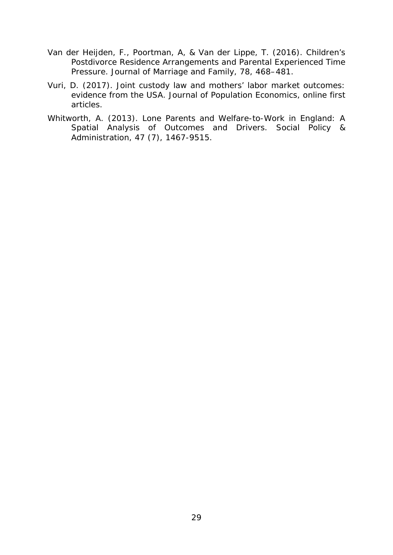- Van der Heijden, F., Poortman, A, & Van der Lippe, T. (2016). Children's Postdivorce Residence Arrangements and Parental Experienced Time Pressure. *Journal of Marriage and Family,* 78, 468–481.
- Vuri, D. (2017). Joint custody law and mothers' labor market outcomes: evidence from the USA. *Journal of Population Economics*, online first articles.
- Whitworth, A. (2013). Lone Parents and Welfare-to-Work in England: A Spatial Analysis of Outcomes and Drivers. *Social Policy & Administration*, 47 (7), 1467-9515.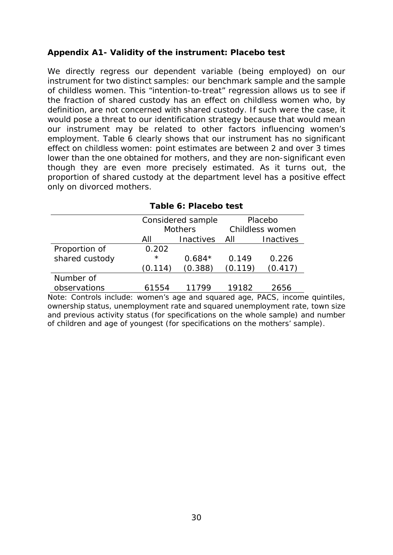#### **Appendix A1- Validity of the instrument: Placebo test**

We directly regress our dependent variable (being employed) on our instrument for two distinct samples: our benchmark sample and the sample of childless women. This "intention-to-treat" regression allows us to see if the fraction of shared custody has an effect on childless women who, by definition, are not concerned with shared custody. If such were the case, it would pose a threat to our identification strategy because that would mean our instrument may be related to other factors influencing women's employment. Table 6 clearly shows that our instrument has no significant effect on childless women: point estimates are between 2 and over 3 times lower than the one obtained for mothers, and they are non-significant even though they are even more precisely estimated. As it turns out, the proportion of shared custody at the department level has a positive effect only on divorced mothers.

|                |         | Considered sample | Placebo         |           |  |
|----------------|---------|-------------------|-----------------|-----------|--|
|                |         | <b>Mothers</b>    | Childless women |           |  |
|                | All     | Inactives         | All             | Inactives |  |
| Proportion of  | 0.202   |                   |                 |           |  |
| shared custody | $\star$ | $0.684*$          | 0.149           | 0.226     |  |
|                | (0.114) | (0.388)           | (0.119)         | (0.417)   |  |
| Number of      |         |                   |                 |           |  |
| observations   | 61554   | 11700             | 19182           | 2656      |  |

|  |  |  | Table 6: Placebo test |  |
|--|--|--|-----------------------|--|
|--|--|--|-----------------------|--|

Note: Controls include: women's age and squared age, PACS, income quintiles, ownership status, unemployment rate and squared unemployment rate, town size and previous activity status (for specifications on the whole sample) and number of children and age of youngest (for specifications on the mothers' sample).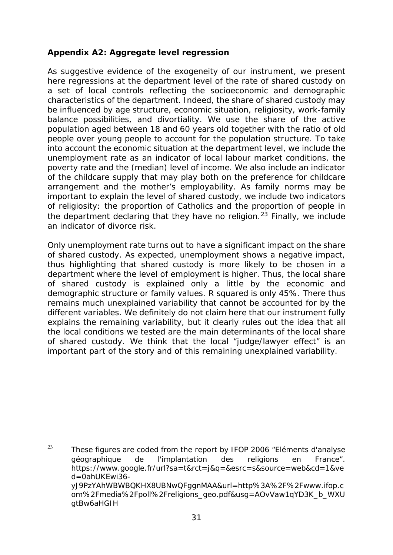#### **Appendix A2: Aggregate level regression**

As suggestive evidence of the exogeneity of our instrument, we present here regressions at the department level of the rate of shared custody on a set of local controls reflecting the socioeconomic and demographic characteristics of the department. Indeed, the share of shared custody may be influenced by age structure, economic situation, religiosity, work-family balance possibilities, and divortiality. We use the share of the active population aged between 18 and 60 years old together with the ratio of old people over young people to account for the population structure. To take into account the economic situation at the department level, we include the unemployment rate as an indicator of local labour market conditions, the poverty rate and the (median) level of income. We also include an indicator of the childcare supply that may play both on the preference for childcare arrangement and the mother's employability. As family norms may be important to explain the level of shared custody, we include two indicators of religiosity: the proportion of Catholics and the proportion of people in the department declaring that they have no religion.<sup>[23](#page-34-0)</sup> Finally, we include an indicator of divorce risk.

Only unemployment rate turns out to have a significant impact on the share of shared custody. As expected, unemployment shows a negative impact, thus highlighting that shared custody is more likely to be chosen in a department where the level of employment is higher. Thus, the local share of shared custody is explained only a little by the economic and demographic structure or family values. R squared is only 45%. There thus remains much unexplained variability that cannot be accounted for by the different variables. We definitely do not claim here that our instrument fully explains the remaining variability, but it clearly rules out the idea that all the local conditions we tested are the main determinants of the local share of shared custody. We think that the local "judge/lawyer effect" is an important part of the story and of this remaining unexplained variability.

Ì,

<span id="page-34-0"></span><sup>&</sup>lt;sup>23</sup> These figures are coded from the report by IFOP 2006 "Eléments d'analyse géographique de l'implantation des religions en France". https://www.google.fr/url?sa=t&rct=j&q=&esrc=s&source=web&cd=1&ve d=0ahUKEwi36 yJ9PzYAhWBWBQKHX8UBNwQFggnMAA&url=http%3A%2F%2Fwww.ifop.c om%2Fmedia%2Fpoll%2Freligions\_geo.pdf&usg=AOvVaw1qYD3K\_b\_WXU gtBw6aHGIH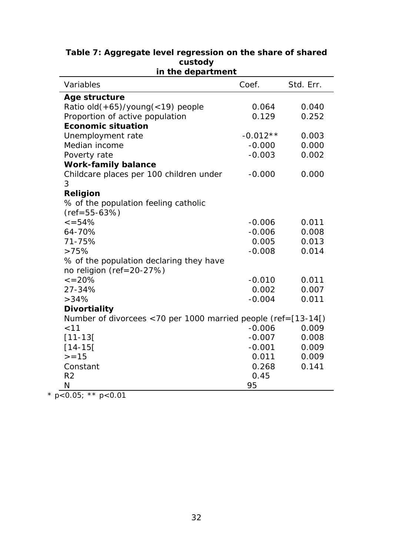| in the department                                                 |            |           |  |  |  |  |  |
|-------------------------------------------------------------------|------------|-----------|--|--|--|--|--|
| Variables                                                         | Coef.      | Std. Err. |  |  |  |  |  |
| Age structure                                                     |            |           |  |  |  |  |  |
| Ratio old(+65)/young(<19) people                                  | 0.064      | 0.040     |  |  |  |  |  |
| Proportion of active population                                   | 0.129      | 0.252     |  |  |  |  |  |
| <b>Economic situation</b>                                         |            |           |  |  |  |  |  |
| Unemployment rate                                                 | $-0.012**$ | 0.003     |  |  |  |  |  |
| Median income                                                     | $-0.000$   | 0.000     |  |  |  |  |  |
| Poverty rate                                                      | $-0.003$   | 0.002     |  |  |  |  |  |
| <b>Work-family balance</b>                                        |            |           |  |  |  |  |  |
| Childcare places per 100 children under                           | $-0.000$   | 0.000     |  |  |  |  |  |
| 3                                                                 |            |           |  |  |  |  |  |
| <b>Religion</b>                                                   |            |           |  |  |  |  |  |
| % of the population feeling catholic                              |            |           |  |  |  |  |  |
| $(ref = 55 - 63%)$                                                |            |           |  |  |  |  |  |
| $\leq 54\%$                                                       | $-0.006$   | 0.011     |  |  |  |  |  |
| 64-70%                                                            | $-0.006$   | 0.008     |  |  |  |  |  |
| 71-75%                                                            | 0.005      | 0.013     |  |  |  |  |  |
| >75%                                                              | $-0.008$   | 0.014     |  |  |  |  |  |
| % of the population declaring they have                           |            |           |  |  |  |  |  |
| no religion (ref=20-27%)                                          |            |           |  |  |  |  |  |
| $\epsilon = 20\%$                                                 | $-0.010$   | 0.011     |  |  |  |  |  |
| 27-34%                                                            | 0.002      | 0.007     |  |  |  |  |  |
| >34%                                                              | $-0.004$   | 0.011     |  |  |  |  |  |
| <b>Divortiality</b>                                               |            |           |  |  |  |  |  |
| Number of divorcees <70 per 1000 married people (ref= $[13-14]$ ) |            |           |  |  |  |  |  |
| < 11                                                              | $-0.006$   | 0.009     |  |  |  |  |  |
| $[11 - 13]$                                                       | $-0.007$   | 0.008     |  |  |  |  |  |
| $[14 - 15]$                                                       | $-0.001$   | 0.009     |  |  |  |  |  |
| $> = 15$                                                          | 0.011      | 0.009     |  |  |  |  |  |
| Constant                                                          | 0.268      | 0.141     |  |  |  |  |  |
| R <sub>2</sub>                                                    | 0.45       |           |  |  |  |  |  |
| N<br>$0.05.** 0.01$                                               | 95         |           |  |  |  |  |  |

# **Table 7: Aggregate level regression on the share of shared custody**

\* *p*<0.05; \*\* *p*<0.01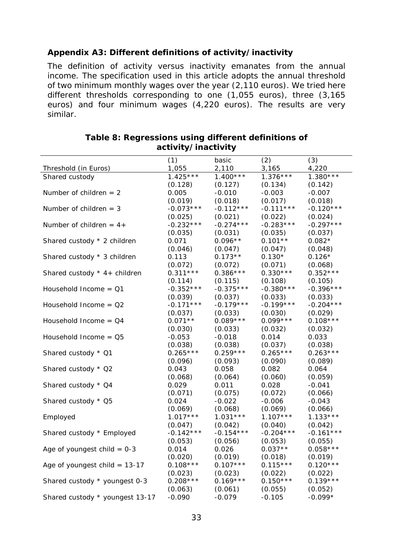#### **Appendix A3: Different definitions of activity/inactivity**

The definition of activity versus inactivity emanates from the annual income. The specification used in this article adopts the annual threshold of two minimum monthly wages over the year (2,110 euros). We tried here different thresholds corresponding to one (1,055 euros), three (3,165 euros) and four minimum wages (4,220 euros). The results are very similar.

|                                 | (1)         | basic       | (2)         | (3)         |
|---------------------------------|-------------|-------------|-------------|-------------|
| Threshold (in Euros)            | 1,055       | 2,110       | 3,165       | 4,220       |
| Shared custody                  | $1.425***$  | $1.400***$  | $1.376***$  | $1.380***$  |
|                                 | (0.128)     | (0.127)     | (0.134)     | (0.142)     |
| Number of children $= 2$        | 0.005       | $-0.010$    | $-0.003$    | $-0.007$    |
|                                 | (0.019)     | (0.018)     | (0.017)     | (0.018)     |
| Number of children $=$ 3        | $-0.073***$ | $-0.112***$ | $-0.111***$ | $-0.120***$ |
|                                 | (0.025)     | (0.021)     | (0.022)     | (0.024)     |
| Number of children = $4+$       | $-0.232***$ | $-0.274***$ | $-0.283***$ | $-0.297***$ |
|                                 | (0.035)     | (0.031)     | (0.035)     | (0.037)     |
| Shared custody * 2 children     | 0.071       | $0.096**$   | $0.101**$   | $0.082*$    |
|                                 | (0.046)     | (0.047)     | (0.047)     | (0.048)     |
| Shared custody * 3 children     | 0.113       | $0.173**$   | $0.130*$    | $0.126*$    |
|                                 | (0.072)     | (0.072)     | (0.071)     | (0.068)     |
| Shared custody $*$ 4+ children  | $0.311***$  | $0.386***$  | $0.330***$  | $0.352***$  |
|                                 | (0.114)     | (0.115)     | (0.108)     | (0.105)     |
| Household Income = $Q1$         | $-0.352***$ | $-0.375***$ | $-0.380***$ | $-0.396***$ |
|                                 | (0.039)     | (0.037)     | (0.033)     | (0.033)     |
| Household Income = $Q2$         | $-0.171***$ | $-0.179***$ | $-0.199***$ | $-0.204***$ |
|                                 | (0.037)     | (0.033)     | (0.030)     | (0.029)     |
| Household Income = $Q4$         | $0.071**$   | $0.089***$  | $0.099***$  | $0.108***$  |
|                                 | (0.030)     | (0.033)     | (0.032)     | (0.032)     |
| Household Income = $Q5$         | $-0.053$    | $-0.018$    | 0.014       | 0.033       |
|                                 | (0.038)     | (0.038)     | (0.037)     | (0.038)     |
| Shared custody * Q1             | $0.265***$  | $0.259***$  | $0.265***$  | $0.263***$  |
|                                 | (0.096)     | (0.093)     | (0.090)     | (0.089)     |
| Shared custody * Q2             | 0.043       | 0.058       | 0.082       | 0.064       |
|                                 | (0.068)     | (0.064)     | (0.060)     | (0.059)     |
| Shared custody * Q4             | 0.029       | 0.011       | 0.028       | $-0.041$    |
|                                 | (0.071)     | (0.075)     | (0.072)     | (0.066)     |
| Shared custody * Q5             | 0.024       | $-0.022$    | $-0.006$    | $-0.043$    |
|                                 | (0.069)     | (0.068)     | (0.069)     | (0.066)     |
| Employed                        | $1.017***$  | $1.031***$  | $1.107***$  | $1.133***$  |
|                                 | (0.047)     | (0.042)     | (0.040)     | (0.042)     |
| Shared custody * Employed       | $-0.142***$ | $-0.154***$ | $-0.204***$ | $-0.161***$ |
|                                 | (0.053)     | (0.056)     | (0.053)     | (0.055)     |
| Age of youngest child $= 0-3$   | 0.014       | 0.026       | $0.037**$   | $0.058***$  |
|                                 | (0.020)     | (0.019)     | (0.018)     | (0.019)     |
| Age of youngest child $= 13-17$ | $0.108***$  | $0.107***$  | $0.115***$  | $0.120***$  |
|                                 | (0.023)     | (0.023)     | (0.022)     | (0.022)     |
| Shared custody * youngest 0-3   | $0.208***$  | $0.169***$  | $0.150***$  | $0.139***$  |
|                                 | (0.063)     | (0.061)     | (0.055)     | (0.052)     |
| Shared custody * youngest 13-17 | $-0.090$    | $-0.079$    | $-0.105$    | $-0.099*$   |

#### **Table 8: Regressions using different definitions of activity/inactivity**